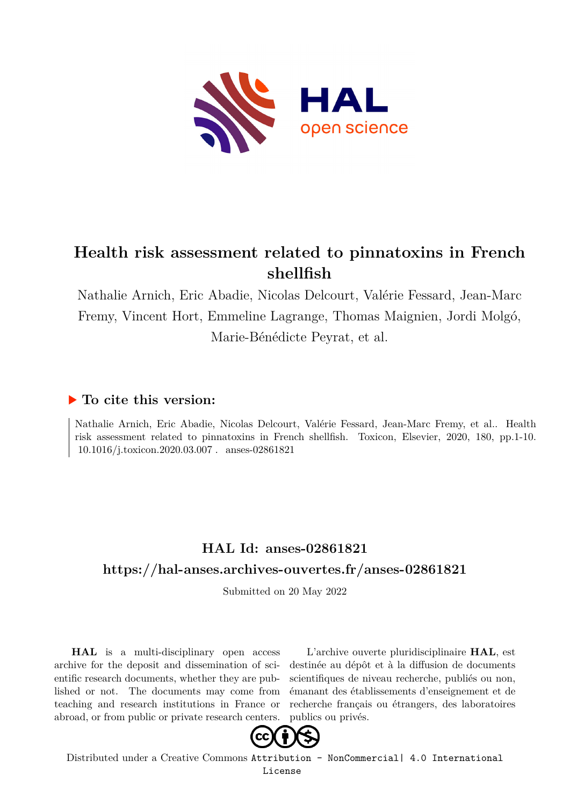

# **Health risk assessment related to pinnatoxins in French shellfish**

Nathalie Arnich, Eric Abadie, Nicolas Delcourt, Valérie Fessard, Jean-Marc Fremy, Vincent Hort, Emmeline Lagrange, Thomas Maignien, Jordi Molgó, Marie-Bénédicte Peyrat, et al.

# **To cite this version:**

Nathalie Arnich, Eric Abadie, Nicolas Delcourt, Valérie Fessard, Jean-Marc Fremy, et al.. Health risk assessment related to pinnatoxins in French shellfish. Toxicon, Elsevier, 2020, 180, pp.1-10.  $10.1016/j.toxicon.2020.03.007$ . anses-02861821

# **HAL Id: anses-02861821 <https://hal-anses.archives-ouvertes.fr/anses-02861821>**

Submitted on 20 May 2022

**HAL** is a multi-disciplinary open access archive for the deposit and dissemination of scientific research documents, whether they are published or not. The documents may come from teaching and research institutions in France or abroad, or from public or private research centers.

L'archive ouverte pluridisciplinaire **HAL**, est destinée au dépôt et à la diffusion de documents scientifiques de niveau recherche, publiés ou non, émanant des établissements d'enseignement et de recherche français ou étrangers, des laboratoires publics ou privés.



Distributed under a Creative Commons [Attribution - NonCommercial| 4.0 International](http://creativecommons.org/licenses/by-nc/4.0/) [License](http://creativecommons.org/licenses/by-nc/4.0/)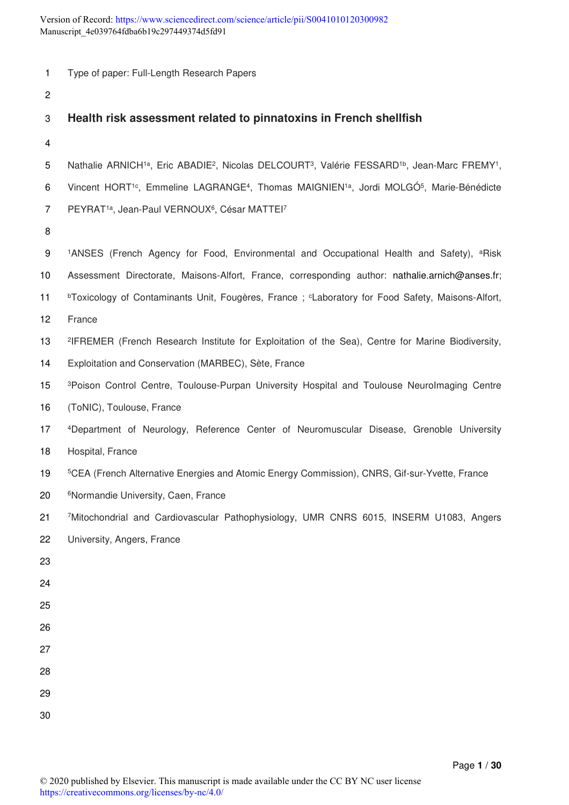| 1              | Type of paper: Full-Length Research Papers                                                                                                                |
|----------------|-----------------------------------------------------------------------------------------------------------------------------------------------------------|
| $\overline{c}$ |                                                                                                                                                           |
| 3              | Health risk assessment related to pinnatoxins in French shellfish                                                                                         |
| 4              |                                                                                                                                                           |
| 5              | Nathalie ARNICH <sup>1a</sup> , Eric ABADIE <sup>2</sup> , Nicolas DELCOURT <sup>3</sup> , Valérie FESSARD <sup>1b</sup> , Jean-Marc FREMY <sup>1</sup> , |
| 6              | Vincent HORT <sup>1c</sup> , Emmeline LAGRANGE <sup>4</sup> , Thomas MAIGNIEN <sup>1a</sup> , Jordi MOLGÓ <sup>5</sup> , Marie-Bénédicte                  |
| $\overline{7}$ | PEYRAT <sup>1a</sup> , Jean-Paul VERNOUX <sup>6</sup> , César MATTEI <sup>7</sup>                                                                         |
| 8              |                                                                                                                                                           |
| 9              | <sup>1</sup> ANSES (French Agency for Food, Environmental and Occupational Health and Safety), <sup>a</sup> Risk                                          |
| 10             | Assessment Directorate, Maisons-Alfort, France, corresponding author: nathalie.arnich@anses.fr;                                                           |
| 11             | <sup>b</sup> Toxicology of Contaminants Unit, Fougères, France; CLaboratory for Food Safety, Maisons-Alfort,                                              |
| 12             | France                                                                                                                                                    |
| 13             | <sup>2</sup> IFREMER (French Research Institute for Exploitation of the Sea), Centre for Marine Biodiversity,                                             |
| 14             | Exploitation and Conservation (MARBEC), Sète, France                                                                                                      |
| 15             | <sup>3</sup> Poison Control Centre, Toulouse-Purpan University Hospital and Toulouse Neurolmaging Centre                                                  |
| 16             | (ToNIC), Toulouse, France                                                                                                                                 |
| 17             | <sup>4</sup> Department of Neurology, Reference Center of Neuromuscular Disease, Grenoble University                                                      |
| 18             | Hospital, France                                                                                                                                          |
| 19             | <sup>5</sup> CEA (French Alternative Energies and Atomic Energy Commission), CNRS, Gif-sur-Yvette, France                                                 |
| 20             | <sup>6</sup> Normandie University, Caen, France                                                                                                           |
| 21             | 7Mitochondrial and Cardiovascular Pathophysiology, UMR CNRS 6015, INSERM U1083, Angers                                                                    |
| 22             | University, Angers, France                                                                                                                                |
| 23             |                                                                                                                                                           |
| 24             |                                                                                                                                                           |
| 25             |                                                                                                                                                           |
| 26             |                                                                                                                                                           |
| 27             |                                                                                                                                                           |
| 28             |                                                                                                                                                           |
| 29             |                                                                                                                                                           |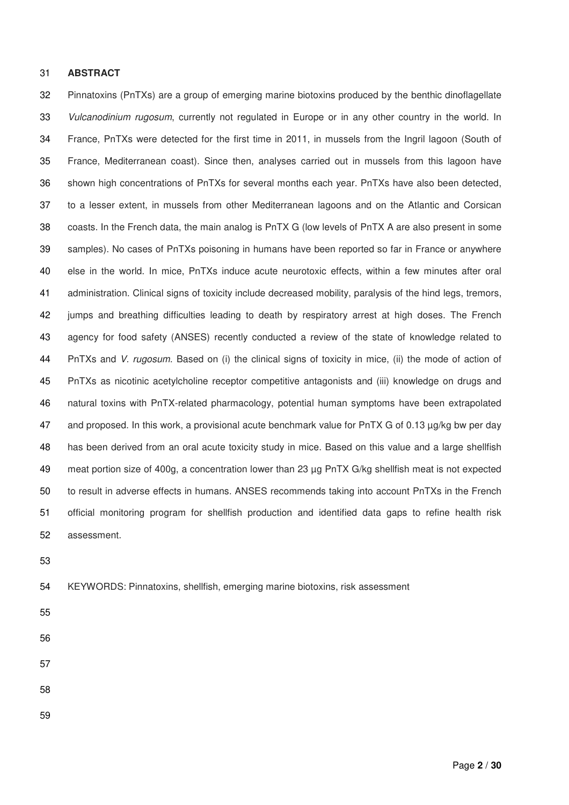#### 31 **ABSTRACT**

32 Pinnatoxins (PnTXs) are a group of emerging marine biotoxins produced by the benthic dinoflagellate 33 Vulcanodinium rugosum, currently not regulated in Europe or in any other country in the world. In 34 France, PnTXs were detected for the first time in 2011, in mussels from the Ingril lagoon (South of 35 France, Mediterranean coast). Since then, analyses carried out in mussels from this lagoon have 36 shown high concentrations of PnTXs for several months each year. PnTXs have also been detected, 37 to a lesser extent, in mussels from other Mediterranean lagoons and on the Atlantic and Corsican 38 coasts. In the French data, the main analog is PnTX G (low levels of PnTX A are also present in some 39 samples). No cases of PnTXs poisoning in humans have been reported so far in France or anywhere 40 else in the world. In mice, PnTXs induce acute neurotoxic effects, within a few minutes after oral 41 administration. Clinical signs of toxicity include decreased mobility, paralysis of the hind legs, tremors, 42 jumps and breathing difficulties leading to death by respiratory arrest at high doses. The French 43 agency for food safety (ANSES) recently conducted a review of the state of knowledge related to 44 PnTXs and V. rugosum. Based on (i) the clinical signs of toxicity in mice, (ii) the mode of action of 45 PnTXs as nicotinic acetylcholine receptor competitive antagonists and (iii) knowledge on drugs and 46 natural toxins with PnTX-related pharmacology, potential human symptoms have been extrapolated 47 and proposed. In this work, a provisional acute benchmark value for PnTX G of 0.13 µg/kg bw per day 48 has been derived from an oral acute toxicity study in mice. Based on this value and a large shellfish 49 meat portion size of 400g, a concentration lower than 23 µg PnTX G/kg shellfish meat is not expected 50 to result in adverse effects in humans. ANSES recommends taking into account PnTXs in the French 51 official monitoring program for shellfish production and identified data gaps to refine health risk 52 assessment.

53

54 KEYWORDS: Pinnatoxins, shellfish, emerging marine biotoxins, risk assessment

- 55
- 57

- 
- 58
- 59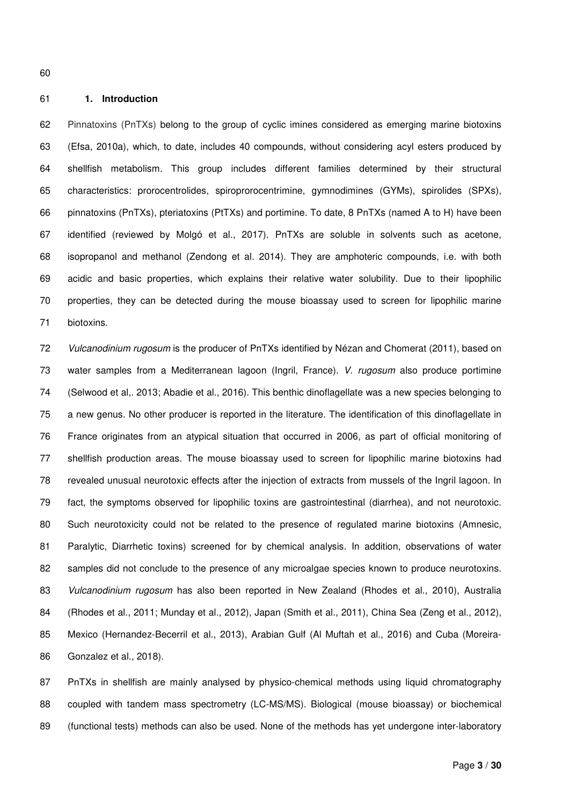### 61 **1. Introduction**

62 Pinnatoxins (PnTXs) belong to the group of cyclic imines considered as emerging marine biotoxins 63 (Efsa, 2010a), which, to date, includes 40 compounds, without considering acyl esters produced by 64 shellfish metabolism. This group includes different families determined by their structural 65 characteristics: prorocentrolides, spiroprorocentrimine, gymnodimines (GYMs), spirolides (SPXs), 66 pinnatoxins (PnTXs), pteriatoxins (PtTXs) and portimine. To date, 8 PnTXs (named A to H) have been 67 identified (reviewed by Molgó et al., 2017). PnTXs are soluble in solvents such as acetone, 68 isopropanol and methanol (Zendong et al. 2014). They are amphoteric compounds, i.e. with both 69 acidic and basic properties, which explains their relative water solubility. Due to their lipophilic 70 properties, they can be detected during the mouse bioassay used to screen for lipophilic marine 71 biotoxins.

72 Vulcanodinium rugosum is the producer of PnTXs identified by Nézan and Chomerat (2011), based on 73 water samples from a Mediterranean lagoon (Ingril, France). V. rugosum also produce portimine 74 (Selwood et al,. 2013; Abadie et al., 2016). This benthic dinoflagellate was a new species belonging to 75 a new genus. No other producer is reported in the literature. The identification of this dinoflagellate in 76 France originates from an atypical situation that occurred in 2006, as part of official monitoring of 77 shellfish production areas. The mouse bioassay used to screen for lipophilic marine biotoxins had 78 revealed unusual neurotoxic effects after the injection of extracts from mussels of the Ingril lagoon. In 79 fact, the symptoms observed for lipophilic toxins are gastrointestinal (diarrhea), and not neurotoxic. 80 Such neurotoxicity could not be related to the presence of regulated marine biotoxins (Amnesic, 81 Paralytic, Diarrhetic toxins) screened for by chemical analysis. In addition, observations of water 82 samples did not conclude to the presence of any microalgae species known to produce neurotoxins. 83 Vulcanodinium rugosum has also been reported in New Zealand (Rhodes et al., 2010), Australia 84 (Rhodes et al., 2011; Munday et al., 2012), Japan (Smith et al., 2011), China Sea (Zeng et al., 2012), 85 Mexico (Hernandez-Becerril et al., 2013), Arabian Gulf (Al Muftah et al., 2016) and Cuba (Moreira-86 Gonzalez et al., 2018).

87 PnTXs in shellfish are mainly analysed by physico-chemical methods using liquid chromatography 88 coupled with tandem mass spectrometry (LC-MS/MS). Biological (mouse bioassay) or biochemical 89 (functional tests) methods can also be used. None of the methods has yet undergone inter-laboratory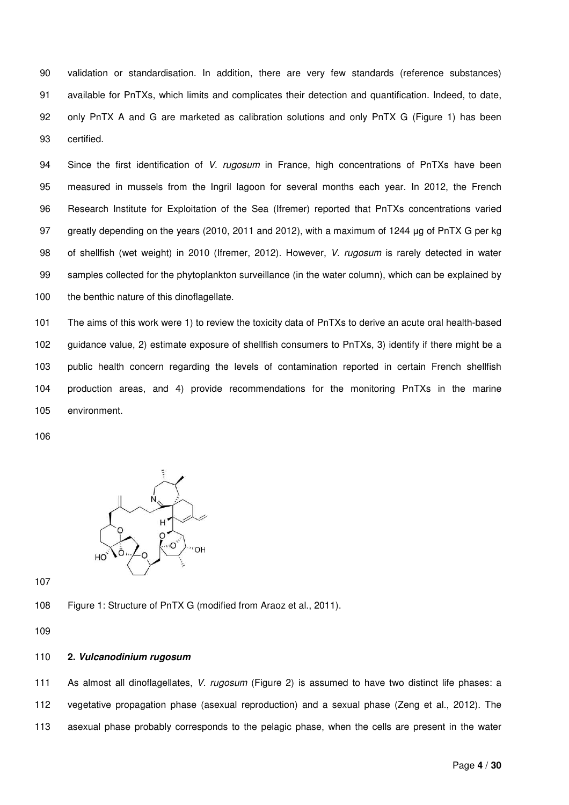90 validation or standardisation. In addition, there are very few standards (reference substances) 91 available for PnTXs, which limits and complicates their detection and quantification. Indeed, to date, 92 only PnTX A and G are marketed as calibration solutions and only PnTX G (Figure 1) has been 93 certified.

94 Since the first identification of V. rugosum in France, high concentrations of PnTXs have been 95 measured in mussels from the Ingril lagoon for several months each year. In 2012, the French 96 Research Institute for Exploitation of the Sea (Ifremer) reported that PnTXs concentrations varied 97 greatly depending on the years (2010, 2011 and 2012), with a maximum of 1244 μg of PnTX G per kg 98 of shellfish (wet weight) in 2010 (Ifremer, 2012). However, V. rugosum is rarely detected in water 99 samples collected for the phytoplankton surveillance (in the water column), which can be explained by 100 the benthic nature of this dinoflagellate.

101 The aims of this work were 1) to review the toxicity data of PnTXs to derive an acute oral health-based 102 guidance value, 2) estimate exposure of shellfish consumers to PnTXs, 3) identify if there might be a 103 public health concern regarding the levels of contamination reported in certain French shellfish 104 production areas, and 4) provide recommendations for the monitoring PnTXs in the marine 105 environment.

106



107

108 Figure 1: Structure of PnTX G (modified from Araoz et al., 2011).

109

### 110 **2. Vulcanodinium rugosum**

111 As almost all dinoflagellates, V. rugosum (Figure 2) is assumed to have two distinct life phases: a 112 vegetative propagation phase (asexual reproduction) and a sexual phase (Zeng et al., 2012). The 113 asexual phase probably corresponds to the pelagic phase, when the cells are present in the water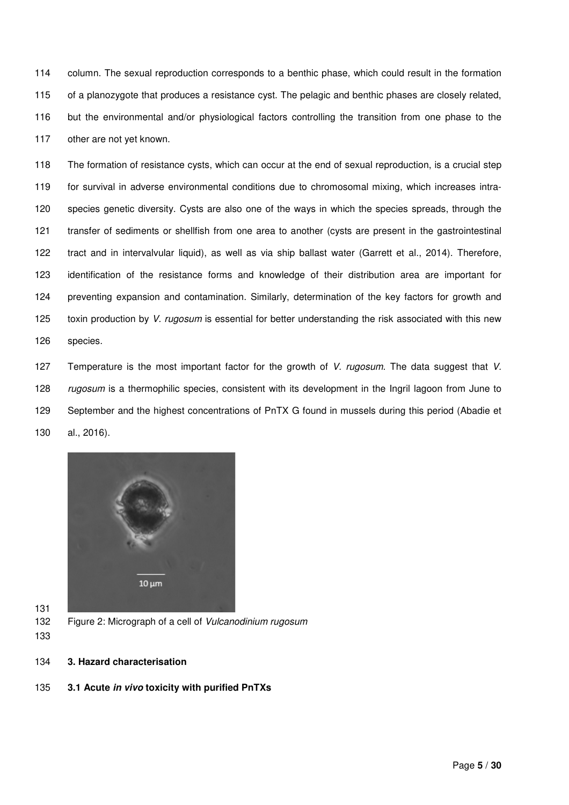114 column. The sexual reproduction corresponds to a benthic phase, which could result in the formation 115 of a planozygote that produces a resistance cyst. The pelagic and benthic phases are closely related, 116 but the environmental and/or physiological factors controlling the transition from one phase to the 117 other are not yet known.

118 The formation of resistance cysts, which can occur at the end of sexual reproduction, is a crucial step 119 for survival in adverse environmental conditions due to chromosomal mixing, which increases intra-120 species genetic diversity. Cysts are also one of the ways in which the species spreads, through the 121 transfer of sediments or shellfish from one area to another (cysts are present in the gastrointestinal 122 tract and in intervalvular liquid), as well as via ship ballast water (Garrett et al., 2014). Therefore, 123 identification of the resistance forms and knowledge of their distribution area are important for 124 preventing expansion and contamination. Similarly, determination of the key factors for growth and 125 toxin production by V. rugosum is essential for better understanding the risk associated with this new 126 species.

127 Temperature is the most important factor for the growth of V. rugosum. The data suggest that V. 128 rugosum is a thermophilic species, consistent with its development in the Ingril lagoon from June to 129 September and the highest concentrations of PnTX G found in mussels during this period (Abadie et 130 al., 2016).



- 131 132 Figure 2: Micrograph of a cell of Vulcanodinium rugosum
- 133
- 134 **3. Hazard characterisation**
- 135 **3.1 Acute in vivo toxicity with purified PnTXs**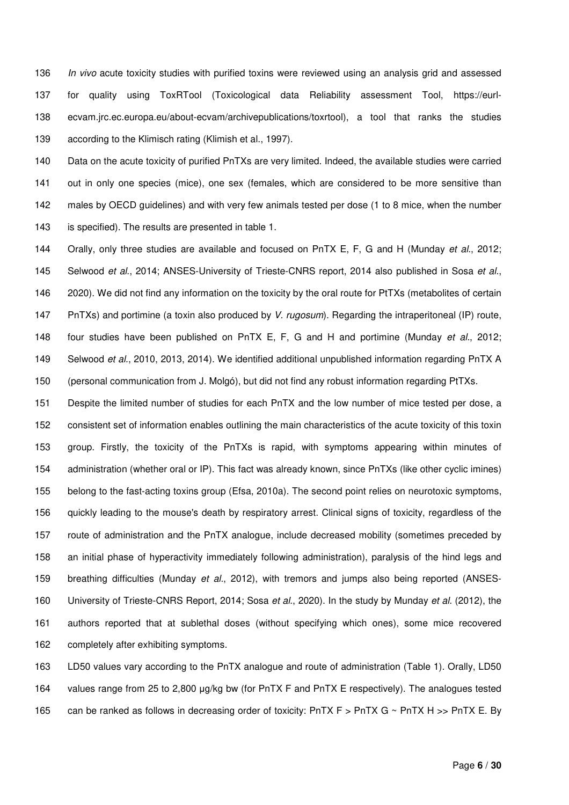136 In vivo acute toxicity studies with purified toxins were reviewed using an analysis grid and assessed 137 for quality using ToxRTool (Toxicological data Reliability assessment Tool, https://eurl-138 ecvam.jrc.ec.europa.eu/about-ecvam/archivepublications/toxrtool), a tool that ranks the studies 139 according to the Klimisch rating (Klimish et al., 1997).

140 Data on the acute toxicity of purified PnTXs are very limited. Indeed, the available studies were carried 141 out in only one species (mice), one sex (females, which are considered to be more sensitive than 142 males by OECD guidelines) and with very few animals tested per dose (1 to 8 mice, when the number 143 is specified). The results are presented in table 1.

144 Orally, only three studies are available and focused on PnTX E, F, G and H (Munday et al., 2012; 145 Selwood et al., 2014; ANSES-University of Trieste-CNRS report, 2014 also published in Sosa et al., 146 2020). We did not find any information on the toxicity by the oral route for PtTXs (metabolites of certain 147 PnTXs) and portimine (a toxin also produced by V. rugosum). Regarding the intraperitoneal (IP) route, 148 four studies have been published on PnTX E, F, G and H and portimine (Munday et al., 2012; 149 Selwood et al., 2010, 2013, 2014). We identified additional unpublished information regarding PnTX A 150 (personal communication from J. Molgó), but did not find any robust information regarding PtTXs.

151 Despite the limited number of studies for each PnTX and the low number of mice tested per dose, a 152 consistent set of information enables outlining the main characteristics of the acute toxicity of this toxin 153 group. Firstly, the toxicity of the PnTXs is rapid, with symptoms appearing within minutes of 154 administration (whether oral or IP). This fact was already known, since PnTXs (like other cyclic imines) 155 belong to the fast-acting toxins group (Efsa, 2010a). The second point relies on neurotoxic symptoms, 156 quickly leading to the mouse's death by respiratory arrest. Clinical signs of toxicity, regardless of the 157 route of administration and the PnTX analogue, include decreased mobility (sometimes preceded by 158 an initial phase of hyperactivity immediately following administration), paralysis of the hind legs and 159 breathing difficulties (Munday et al., 2012), with tremors and jumps also being reported (ANSES-160 University of Trieste-CNRS Report, 2014; Sosa et al., 2020). In the study by Munday et al. (2012), the 161 authors reported that at sublethal doses (without specifying which ones), some mice recovered 162 completely after exhibiting symptoms.

163 LD50 values vary according to the PnTX analogue and route of administration (Table 1). Orally, LD50 164 values range from 25 to 2,800 μg/kg bw (for PnTX F and PnTX E respectively). The analogues tested 165 can be ranked as follows in decreasing order of toxicity: PnTX F > PnTX G ~ PnTX H >> PnTX E. By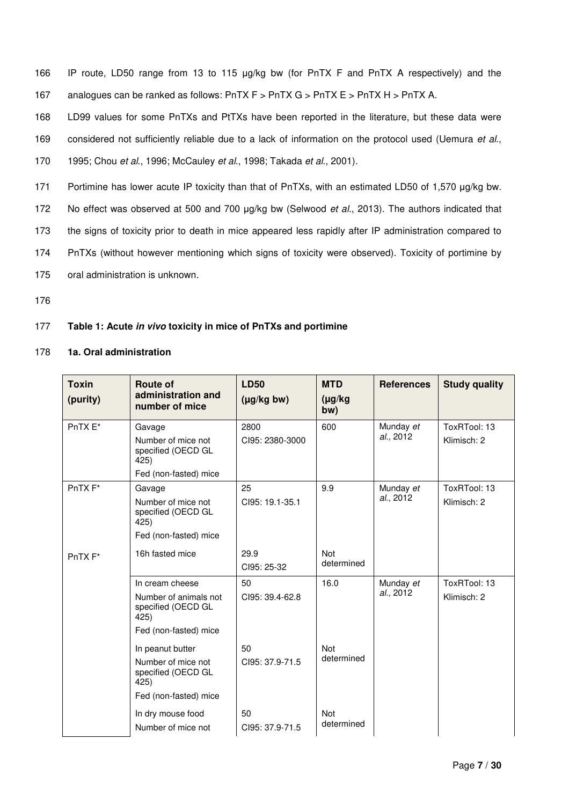- 166 IP route, LD50 range from 13 to 115 μg/kg bw (for PnTX F and PnTX A respectively) and the 167 analogues can be ranked as follows: PnTX F > PnTX G > PnTX E > PnTX H > PnTX A.
- 168 LD99 values for some PnTXs and PtTXs have been reported in the literature, but these data were 169 considered not sufficiently reliable due to a lack of information on the protocol used (Uemura et al.,
- 170 1995; Chou et al., 1996; McCauley et al., 1998; Takada et al., 2001).
- 171 Portimine has lower acute IP toxicity than that of PnTXs, with an estimated LD50 of 1,570 μg/kg bw.
- 172 No effect was observed at 500 and 700 μg/kg bw (Selwood et al., 2013). The authors indicated that
- 173 the signs of toxicity prior to death in mice appeared less rapidly after IP administration compared to
- 174 PnTXs (without however mentioning which signs of toxicity were observed). Toxicity of portimine by
- 175 oral administration is unknown.
- 176

# 177 **Table 1: Acute in vivo toxicity in mice of PnTXs and portimine**

### 178 **1a. Oral administration**

| <b>Toxin</b><br>(purity) | Route of<br>administration and<br>number of mice                                                | <b>LD50</b><br>$(\mu g/kg bw)$ | <b>MTD</b><br>$(\mu g/kg)$<br>bw) | <b>References</b>      | <b>Study quality</b>        |
|--------------------------|-------------------------------------------------------------------------------------------------|--------------------------------|-----------------------------------|------------------------|-----------------------------|
| PnTX E*                  | Gavage<br>Number of mice not<br>specified (OECD GL<br>425)<br>Fed (non-fasted) mice             | 2800<br>CI95: 2380-3000        | 600                               | Munday et<br>al., 2012 | ToxRTool: 13<br>Klimisch: 2 |
| PnTX <sub>F</sub> *      | Gavage<br>Number of mice not<br>specified (OECD GL<br>425)<br>Fed (non-fasted) mice             | 25<br>CI95: 19.1-35.1          | 9.9                               | Munday et<br>al., 2012 | ToxRTool: 13<br>Klimisch: 2 |
| PnTX <sub>F</sub> *      | 16h fasted mice                                                                                 | 29.9<br>CI95: 25-32            | <b>Not</b><br>determined          |                        |                             |
|                          | In cream cheese<br>Number of animals not<br>specified (OECD GL<br>425)<br>Fed (non-fasted) mice | 50<br>CI95: 39.4-62.8          | 16.0                              | Munday et<br>al., 2012 | ToxRTool: 13<br>Klimisch: 2 |
|                          | In peanut butter<br>Number of mice not<br>specified (OECD GL<br>425)<br>Fed (non-fasted) mice   | 50<br>CI95: 37.9-71.5          | <b>Not</b><br>determined          |                        |                             |
|                          | In dry mouse food<br>Number of mice not                                                         | 50<br>CI95: 37.9-71.5          | <b>Not</b><br>determined          |                        |                             |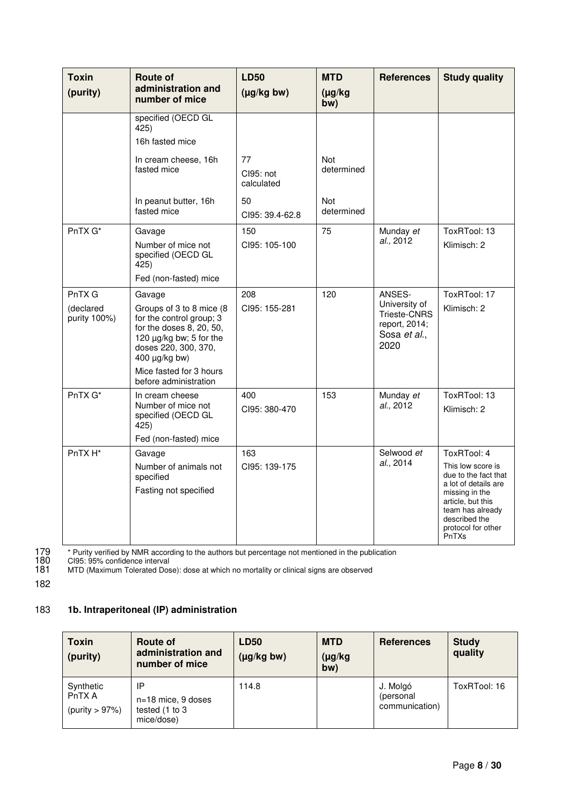| <b>Toxin</b><br>(purity)            | <b>Route of</b><br>administration and<br>number of mice                                                                                                                                                                 | <b>LD50</b><br>$(\mu g/kg bw)$ | <b>MTD</b><br>$(\mu g/kg)$<br>bw) | <b>References</b>                                                                | <b>Study quality</b>                                                                                                                                                                        |
|-------------------------------------|-------------------------------------------------------------------------------------------------------------------------------------------------------------------------------------------------------------------------|--------------------------------|-----------------------------------|----------------------------------------------------------------------------------|---------------------------------------------------------------------------------------------------------------------------------------------------------------------------------------------|
|                                     | specified (OECD GL<br>425)<br>16h fasted mice                                                                                                                                                                           |                                |                                   |                                                                                  |                                                                                                                                                                                             |
|                                     | In cream cheese, 16h<br>fasted mice                                                                                                                                                                                     | 77<br>CI95: not<br>calculated  | Not<br>determined                 |                                                                                  |                                                                                                                                                                                             |
|                                     | In peanut butter, 16h<br>fasted mice                                                                                                                                                                                    | 50<br>CI95: 39.4-62.8          | Not<br>determined                 |                                                                                  |                                                                                                                                                                                             |
| PnTX G*                             | Gavage<br>Number of mice not<br>specified (OECD GL<br>425)<br>Fed (non-fasted) mice                                                                                                                                     | 150<br>CI95: 105-100           | 75                                | Munday et<br>al., 2012                                                           | ToxRTool: 13<br>Klimisch: 2                                                                                                                                                                 |
| PnTX G<br>(declared<br>purity 100%) | Gavage<br>Groups of 3 to 8 mice (8<br>for the control group; 3<br>for the doses 8, 20, 50,<br>120 µg/kg bw; 5 for the<br>doses 220, 300, 370,<br>$400 \mu g/kg$ bw)<br>Mice fasted for 3 hours<br>before administration | 208<br>CI95: 155-281           | 120                               | ANSES-<br>University of<br>Trieste-CNRS<br>report, 2014;<br>Sosa et al.,<br>2020 | ToxRTool: 17<br>Klimisch: 2                                                                                                                                                                 |
| PnTX G*                             | In cream cheese<br>Number of mice not<br>specified (OECD GL<br>425)<br>Fed (non-fasted) mice                                                                                                                            | 400<br>CI95: 380-470           | 153                               | Munday et<br>al., 2012                                                           | ToxRTool: 13<br>Klimisch: 2                                                                                                                                                                 |
| PnTX H*                             | Gavage<br>Number of animals not<br>specified<br>Fasting not specified                                                                                                                                                   | 163<br>CI95: 139-175           |                                   | Selwood et<br>al., 2014                                                          | ToxRTool: 4<br>This low score is<br>due to the fact that<br>a lot of details are<br>missing in the<br>article, but this<br>team has already<br>described the<br>protocol for other<br>PnTXs |

179 \* Purity verified by NMR according to the authors but percentage not mentioned in the publication<br>180 Cl95: 95% confidence interval<br>181 MTD (Maximum Tolerated Dose): dose at which no mortality or clinical signs are obs

180 CI95: 95% confidence interval

181 MTD (Maximum Tolerated Dose): dose at which no mortality or clinical signs are observed

182

# 183 **1b. Intraperitoneal (IP) administration**

| <b>Toxin</b><br>(purity)                  | Route of<br>administration and<br>number of mice           | <b>LD50</b><br>$(\mu g/kg)$ bw) | <b>MTD</b><br>$(\mu g/kg)$<br>bw) | <b>References</b>                       | <b>Study</b><br>quality |
|-------------------------------------------|------------------------------------------------------------|---------------------------------|-----------------------------------|-----------------------------------------|-------------------------|
| Synthetic<br>PnTX A<br>(purity $> 97\%$ ) | IP<br>$n=18$ mice, 9 doses<br>tested (1 to 3<br>mice/dose) | 114.8                           |                                   | J. Molgó<br>(personal<br>communication) | ToxRTool: 16            |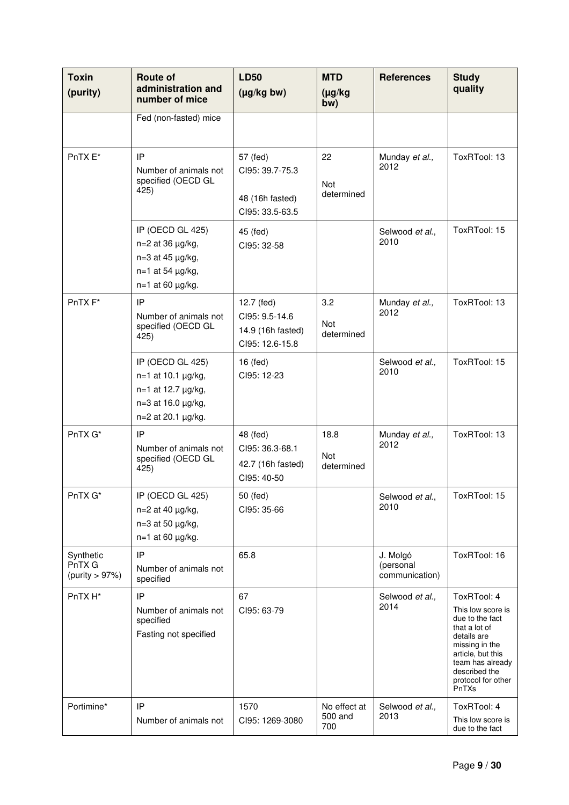| <b>Toxin</b><br>(purity)              | <b>Route of</b><br>administration and<br>number of mice                                                                      | <b>LD50</b><br>$(\mu g/kg)$ bw)                                      | <b>MTD</b><br>$(\mu g/kg)$<br>bw) | <b>References</b>                       | <b>Study</b><br>quality                                                                                                                                                                        |
|---------------------------------------|------------------------------------------------------------------------------------------------------------------------------|----------------------------------------------------------------------|-----------------------------------|-----------------------------------------|------------------------------------------------------------------------------------------------------------------------------------------------------------------------------------------------|
|                                       | Fed (non-fasted) mice                                                                                                        |                                                                      |                                   |                                         |                                                                                                                                                                                                |
| PnTX E*                               | IP<br>Number of animals not<br>specified (OECD GL<br>425)                                                                    | 57 (fed)<br>CI95: 39.7-75.3<br>48 (16h fasted)<br>CI95: 33.5-63.5    | 22<br>Not<br>determined           | Munday et al.,<br>2012                  | ToxRTool: 13                                                                                                                                                                                   |
|                                       | IP (OECD GL 425)<br>$n=2$ at 36 $\mu$ g/kg,<br>$n=3$ at 45 $\mu$ g/kg,<br>$n=1$ at 54 $\mu$ g/kg,<br>$n=1$ at 60 $\mu$ g/kg. | 45 (fed)<br>CI95: 32-58                                              |                                   | Selwood et al.,<br>2010                 | ToxRTool: 15                                                                                                                                                                                   |
| PnTX <sub>F</sub> *                   | IP<br>Number of animals not<br>specified (OECD GL<br>425)                                                                    | 12.7 (fed)<br>CI95: 9.5-14.6<br>14.9 (16h fasted)<br>Cl95: 12.6-15.8 | 3.2<br>Not<br>determined          | Munday et al.,<br>2012                  | ToxRTool: 13                                                                                                                                                                                   |
|                                       | IP (OECD GL 425)<br>$n=1$ at 10.1 $\mu$ g/kg,<br>n=1 at 12.7 µg/kg,<br>n=3 at 16.0 µg/kg,<br>n=2 at 20.1 µg/kg.              | 16 (fed)<br>Cl95: 12-23                                              |                                   | Selwood et al.,<br>2010                 | ToxRTool: 15                                                                                                                                                                                   |
| PnTX G*                               | IP<br>Number of animals not<br>specified (OECD GL<br>425)                                                                    | 48 (fed)<br>Cl95: 36.3-68.1<br>42.7 (16h fasted)<br>CI95: 40-50      | 18.8<br><b>Not</b><br>determined  | Munday et al.,<br>2012                  | ToxRTool: 13                                                                                                                                                                                   |
| PnTX G*                               | IP (OECD GL 425)<br>$n=2$ at 40 $\mu$ g/kg,<br>$n=3$ at 50 $\mu$ g/kg,<br>$n=1$ at 60 $\mu$ g/kg.                            | 50 (fed)<br>CI95: 35-66                                              |                                   | Selwood et al.,<br>2010                 | ToxRTool: 15                                                                                                                                                                                   |
| Synthetic<br>PnTX G<br>(purity > 97%) | IP<br>Number of animals not<br>specified                                                                                     | 65.8                                                                 |                                   | J. Molgó<br>(personal<br>communication) | ToxRTool: 16                                                                                                                                                                                   |
| PnTX H*                               | IP<br>Number of animals not<br>specified<br>Fasting not specified                                                            | 67<br>CI95: 63-79                                                    |                                   | Selwood et al.,<br>2014                 | ToxRTool: 4<br>This low score is<br>due to the fact<br>that a lot of<br>details are<br>missing in the<br>article, but this<br>team has already<br>described the<br>protocol for other<br>PnTXs |
| Portimine*                            | IP<br>Number of animals not                                                                                                  | 1570<br>CI95: 1269-3080                                              | No effect at<br>500 and<br>700    | Selwood et al.,<br>2013                 | ToxRTool: 4<br>This low score is<br>due to the fact                                                                                                                                            |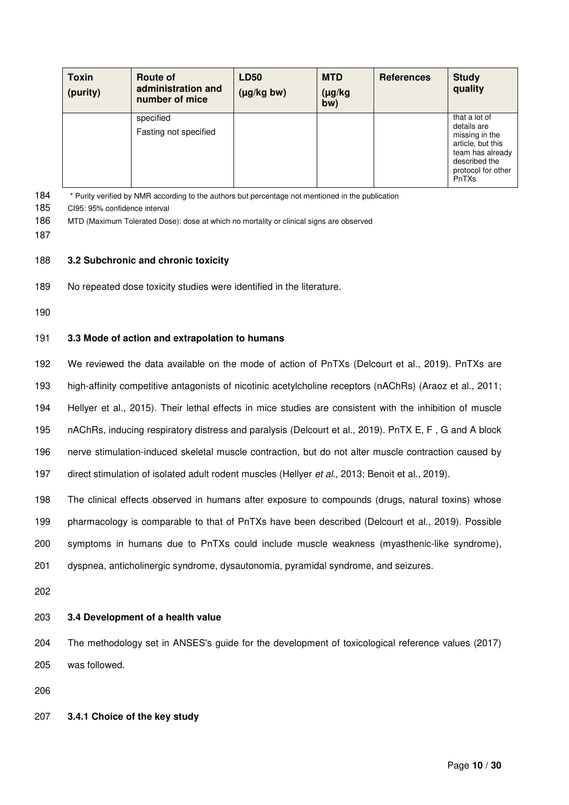| <b>Toxin</b><br>(purity) | Route of<br>administration and<br>number of mice | <b>LD50</b><br>$(\mu g/kg)$ bw) | <b>MTD</b><br>$(\mu g/kg)$<br>bw) | <b>References</b> | <b>Study</b><br>quality                                                                                                                 |
|--------------------------|--------------------------------------------------|---------------------------------|-----------------------------------|-------------------|-----------------------------------------------------------------------------------------------------------------------------------------|
|                          | specified<br>Fasting not specified               |                                 |                                   |                   | that a lot of<br>details are<br>missing in the<br>article, but this<br>team has already<br>described the<br>protocol for other<br>PnTXs |

184 \* Purity verified by NMR according to the authors but percentage not mentioned in the publication

185 CI95: 95% confidence interval

186 MTD (Maximum Tolerated Dose): dose at which no mortality or clinical signs are observed

187

### 188 **3.2 Subchronic and chronic toxicity**

189 No repeated dose toxicity studies were identified in the literature.

190

# 191 **3.3 Mode of action and extrapolation to humans**

192 We reviewed the data available on the mode of action of PnTXs (Delcourt et al., 2019). PnTXs are

193 high-affinity competitive antagonists of nicotinic acetylcholine receptors (nAChRs) (Araoz et al., 2011;

194 Hellyer et al., 2015). Their lethal effects in mice studies are consistent with the inhibition of muscle

195 nAChRs, inducing respiratory distress and paralysis (Delcourt et al., 2019). PnTX E, F , G and A block

196 nerve stimulation-induced skeletal muscle contraction, but do not alter muscle contraction caused by

197 direct stimulation of isolated adult rodent muscles (Hellyer et al., 2013; Benoit et al., 2019).

198 The clinical effects observed in humans after exposure to compounds (drugs, natural toxins) whose

199 pharmacology is comparable to that of PnTXs have been described (Delcourt et al., 2019). Possible

200 symptoms in humans due to PnTXs could include muscle weakness (myasthenic-like syndrome),

201 dyspnea, anticholinergic syndrome, dysautonomia, pyramidal syndrome, and seizures.

202

# 203 **3.4 Development of a health value**

204 The methodology set in ANSES's guide for the development of toxicological reference values (2017) 205 was followed.

206

# 207 **3.4.1 Choice of the key study**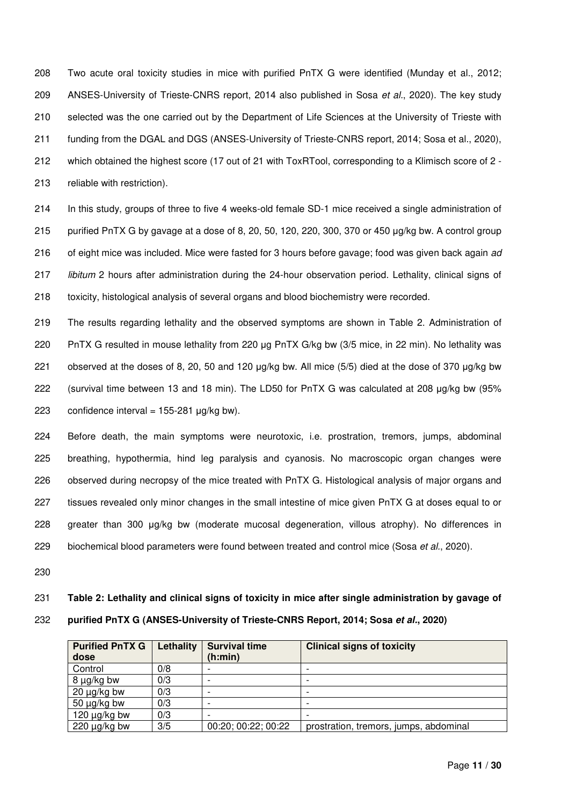208 Two acute oral toxicity studies in mice with purified PnTX G were identified (Munday et al., 2012; 209 ANSES-University of Trieste-CNRS report, 2014 also published in Sosa et al., 2020). The key study 210 selected was the one carried out by the Department of Life Sciences at the University of Trieste with 211 funding from the DGAL and DGS (ANSES-University of Trieste-CNRS report, 2014; Sosa et al., 2020), 212 which obtained the highest score (17 out of 21 with ToxRTool, corresponding to a Klimisch score of 2 - 213 reliable with restriction).

214 In this study, groups of three to five 4 weeks-old female SD-1 mice received a single administration of 215 purified PnTX G by gavage at a dose of 8, 20, 50, 120, 220, 300, 370 or 450 μg/kg bw. A control group 216 of eight mice was included. Mice were fasted for 3 hours before gavage; food was given back again ad 217 libitum 2 hours after administration during the 24-hour observation period. Lethality, clinical signs of 218 toxicity, histological analysis of several organs and blood biochemistry were recorded.

219 The results regarding lethality and the observed symptoms are shown in Table 2. Administration of 220 PnTX G resulted in mouse lethality from 220 μg PnTX G/kg bw (3/5 mice, in 22 min). No lethality was 221 observed at the doses of 8, 20, 50 and 120 μg/kg bw. All mice (5/5) died at the dose of 370 μg/kg bw 222 (survival time between 13 and 18 min). The LD50 for PnTX G was calculated at 208 μg/kg bw (95% 223 confidence interval =  $155-281$  µg/kg bw).

224 Before death, the main symptoms were neurotoxic, i.e. prostration, tremors, jumps, abdominal 225 breathing, hypothermia, hind leg paralysis and cyanosis. No macroscopic organ changes were 226 observed during necropsy of the mice treated with PnTX G. Histological analysis of major organs and 227 tissues revealed only minor changes in the small intestine of mice given PnTX G at doses equal to or 228 greater than 300 μg/kg bw (moderate mucosal degeneration, villous atrophy). No differences in 229 biochemical blood parameters were found between treated and control mice (Sosa et al., 2020).

230

### 231 **Table 2: Lethality and clinical signs of toxicity in mice after single administration by gavage of**

### 232 **purified PnTX G (ANSES-University of Trieste-CNRS Report, 2014; Sosa et al., 2020)**

| <b>Purified PnTX G</b><br>dose | Lethality | <b>Survival time</b><br>(h:min) | <b>Clinical signs of toxicity</b>      |
|--------------------------------|-----------|---------------------------------|----------------------------------------|
| Control                        | 0/8       |                                 |                                        |
| 8 µg/kg bw                     | 0/3       |                                 |                                        |
| $20 \mu g/kg$ bw               | 0/3       |                                 |                                        |
| 50 $\mu$ g/kg bw               | 0/3       |                                 |                                        |
| 120 $\mu$ g/kg bw              | 0/3       |                                 |                                        |
| $220 \mu g/kg$ bw              | 3/5       | 00:20; 00:22; 00:22             | prostration, tremors, jumps, abdominal |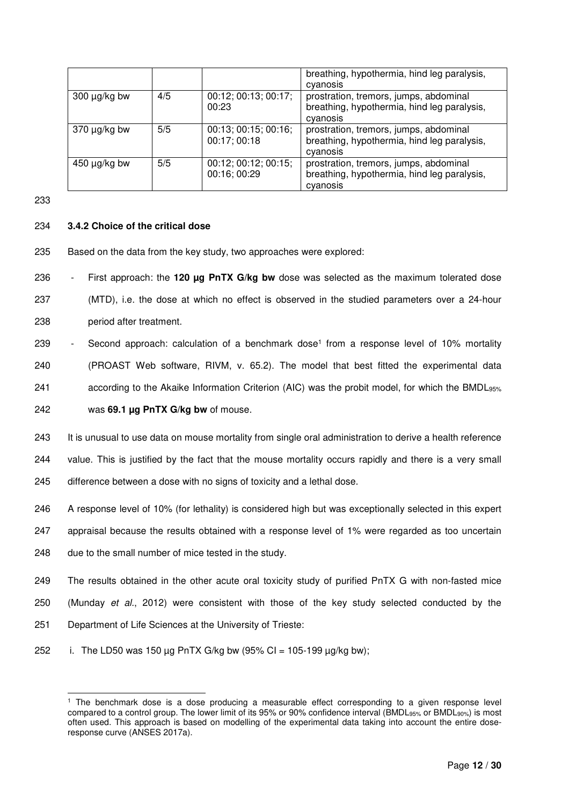|                   |     |                                      | breathing, hypothermia, hind leg paralysis,                                                       |
|-------------------|-----|--------------------------------------|---------------------------------------------------------------------------------------------------|
|                   |     |                                      | cyanosis                                                                                          |
| $300 \mu g/kg$ bw | 4/5 | 00:12; 00:13; 00:17;<br>00:23        | prostration, tremors, jumps, abdominal<br>breathing, hypothermia, hind leg paralysis,<br>cyanosis |
| $370 \mu g/kg$ bw | 5/5 | 00:13; 00:15; 00:16;<br>00:17; 00:18 | prostration, tremors, jumps, abdominal<br>breathing, hypothermia, hind leg paralysis,<br>cyanosis |
| $450 \mu g/kg$ bw | 5/5 | 00:12; 00:12; 00:15;<br>00:16; 00:29 | prostration, tremors, jumps, abdominal<br>breathing, hypothermia, hind leg paralysis,<br>cyanosis |

# 234 **3.4.2 Choice of the critical dose**

235 Based on the data from the key study, two approaches were explored:

236 - First approach: the **120 µg PnTX G/kg bw** dose was selected as the maximum tolerated dose 237 (MTD), i.e. the dose at which no effect is observed in the studied parameters over a 24-hour 238 period after treatment.

- 239 Second approach: calculation of a benchmark dose<sup>1</sup> from a response level of 10% mortality 240 (PROAST Web software, RIVM, v. 65.2). The model that best fitted the experimental data 241 according to the Akaike Information Criterion (AIC) was the probit model, for which the BMDL95% 242 was **69.1 µg PnTX G/kg bw** of mouse.
- 243 It is unusual to use data on mouse mortality from single oral administration to derive a health reference 244 value. This is justified by the fact that the mouse mortality occurs rapidly and there is a very small 245 difference between a dose with no signs of toxicity and a lethal dose.
- 246 A response level of 10% (for lethality) is considered high but was exceptionally selected in this expert
- 247 appraisal because the results obtained with a response level of 1% were regarded as too uncertain
- 248 due to the small number of mice tested in the study.
- 249 The results obtained in the other acute oral toxicity study of purified PnTX G with non-fasted mice 250 (Munday et al., 2012) were consistent with those of the key study selected conducted by the 251 Department of Life Sciences at the University of Trieste:
- 252 i. The LD50 was 150  $\mu$ g PnTX G/kg bw (95% CI = 105-199  $\mu$ g/kg bw);

l 1 The benchmark dose is a dose producing a measurable effect corresponding to a given response level compared to a control group. The lower limit of its 95% or 90% confidence interval (BMDL<sub>95%</sub> or BMDL<sub>90%</sub>) is most often used. This approach is based on modelling of the experimental data taking into account the entire doseresponse curve (ANSES 2017a).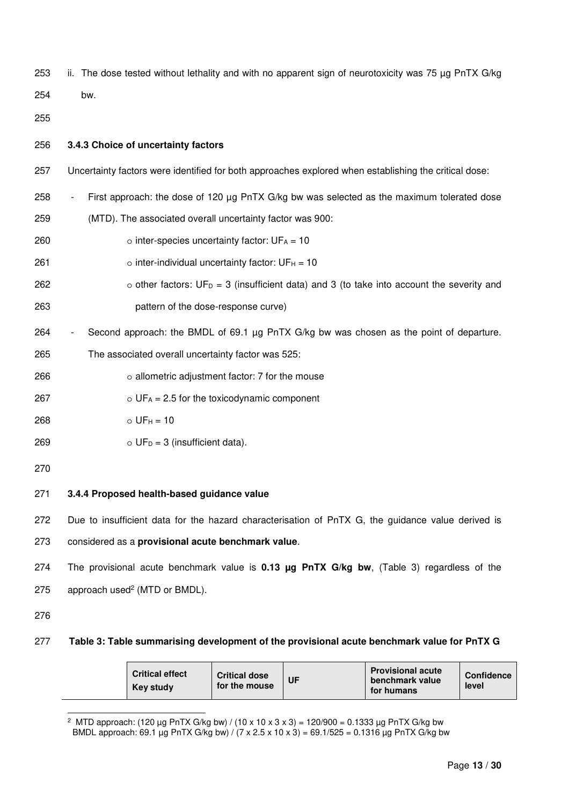- 253 ii. The dose tested without lethality and with no apparent sign of neurotoxicity was 75 µg PnTX G/kg
- 254 bw.
- 255 256 **3.4.3 Choice of uncertainty factors** 257 Uncertainty factors were identified for both approaches explored when establishing the critical dose: 258 - First approach: the dose of 120 µg PnTX G/kg bw was selected as the maximum tolerated dose 259 (MTD). The associated overall uncertainty factor was 900:  $260$  o inter-species uncertainty factor:  $UF_A = 10$  $261$  o inter-individual uncertainty factor: UF $H = 10$ 262  $\circ$  other factors: UF<sub>D</sub> = 3 (insufficient data) and 3 (to take into account the severity and 263 pattern of the dose-response curve) 264 - Second approach: the BMDL of 69.1 µg PnTX G/kg bw was chosen as the point of departure. 265 The associated overall uncertainty factor was 525: 266 o allometric adjustment factor: 7 for the mouse 267  $O = UF_A = 2.5$  for the toxicodynamic component  $268$  o UF $_{\rm H}$  = 10  $269$  o UF<sub>D</sub> = 3 (insufficient data). 270 271 **3.4.4 Proposed health-based guidance value** 272 Due to insufficient data for the hazard characterisation of PnTX G, the guidance value derived is 273 considered as a **provisional acute benchmark value**. 274 The provisional acute benchmark value is **0.13 µg PnTX G/kg bw**, (Table 3) regardless of the  $275$  approach used<sup>2</sup> (MTD or BMDL). 276
- 

l

277 **Table 3: Table summarising development of the provisional acute benchmark value for PnTX G** 

|  | <b>Critical effect</b><br><b>Key study</b> | <b>Critical dose</b><br>for the mouse | UF | <b>Provisional acute</b><br>benchmark value<br>for humans | <b>Confidence</b><br>level |
|--|--------------------------------------------|---------------------------------------|----|-----------------------------------------------------------|----------------------------|
|--|--------------------------------------------|---------------------------------------|----|-----------------------------------------------------------|----------------------------|

<sup>&</sup>lt;sup>2</sup> MTD approach: (120 μg PnTX G/kg bw) / (10 x 10 x 3 x 3) = 120/900 = 0.1333 μg PnTX G/kg bw BMDL approach: 69.1 µg PnTX G/kg bw) / (7 x 2.5 x 10 x 3) = 69.1/525 = 0.1316 µg PnTX G/kg bw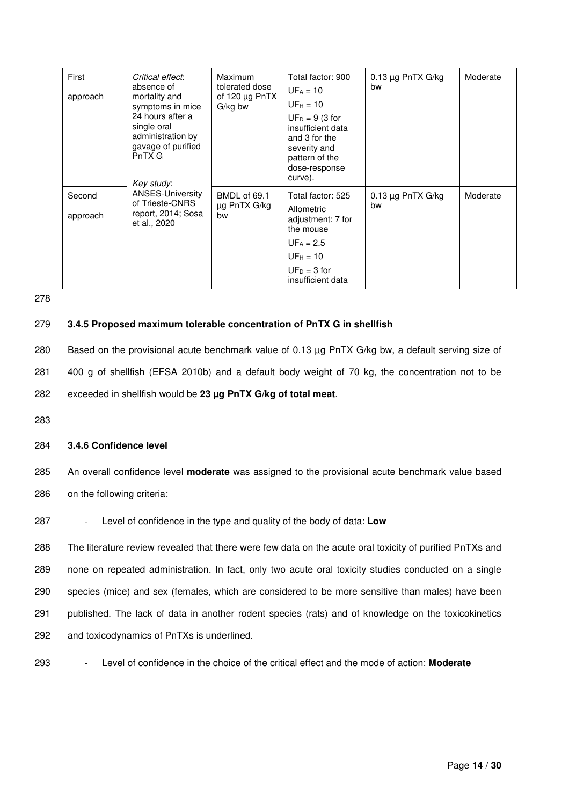| First<br>approach  | Critical effect:<br>absence of<br>mortality and<br>symptoms in mice<br>24 hours after a<br>single oral<br>administration by<br>gavage of purified<br>PnTX G<br>Key study:<br><b>ANSES-University</b><br>of Trieste-CNRS<br>report, 2014; Sosa<br>et al., 2020 | <b>Maximum</b><br>tolerated dose<br>of 120 $\mu$ g PnTX<br>G/kg bw | Total factor: 900<br>$UF_A = 10$<br>$UFH = 10$<br>$UF_D = 9$ (3 for<br>insufficient data<br>and 3 for the<br>severity and<br>pattern of the<br>dose-response<br>curve). | $0.13 \mu$ g PnTX G/kg<br>bw | Moderate |
|--------------------|---------------------------------------------------------------------------------------------------------------------------------------------------------------------------------------------------------------------------------------------------------------|--------------------------------------------------------------------|-------------------------------------------------------------------------------------------------------------------------------------------------------------------------|------------------------------|----------|
| Second<br>approach |                                                                                                                                                                                                                                                               | BMDL of 69.1<br>µg PnTX G/kg<br>bw                                 | Total factor: 525<br>Allometric<br>adjustment: 7 for<br>the mouse<br>$UF_A = 2.5$<br>$UF_H = 10$<br>$UF_D = 3$ for<br>insufficient data                                 | $0.13 \mu g$ PnTX G/kg<br>bw | Moderate |

### 279 **3.4.5 Proposed maximum tolerable concentration of PnTX G in shellfish**

280 Based on the provisional acute benchmark value of 0.13 µg PnTX G/kg bw, a default serving size of 281 400 g of shellfish (EFSA 2010b) and a default body weight of 70 kg, the concentration not to be 282 exceeded in shellfish would be **23 µg PnTX G/kg of total meat**.

283

### 284 **3.4.6 Confidence level**

285 An overall confidence level **moderate** was assigned to the provisional acute benchmark value based 286 on the following criteria:

287 - Level of confidence in the type and quality of the body of data: **Low**

288 The literature review revealed that there were few data on the acute oral toxicity of purified PnTXs and 289 none on repeated administration. In fact, only two acute oral toxicity studies conducted on a single 290 species (mice) and sex (females, which are considered to be more sensitive than males) have been 291 published. The lack of data in another rodent species (rats) and of knowledge on the toxicokinetics 292 and toxicodynamics of PnTXs is underlined.

293 - Level of confidence in the choice of the critical effect and the mode of action: **Moderate**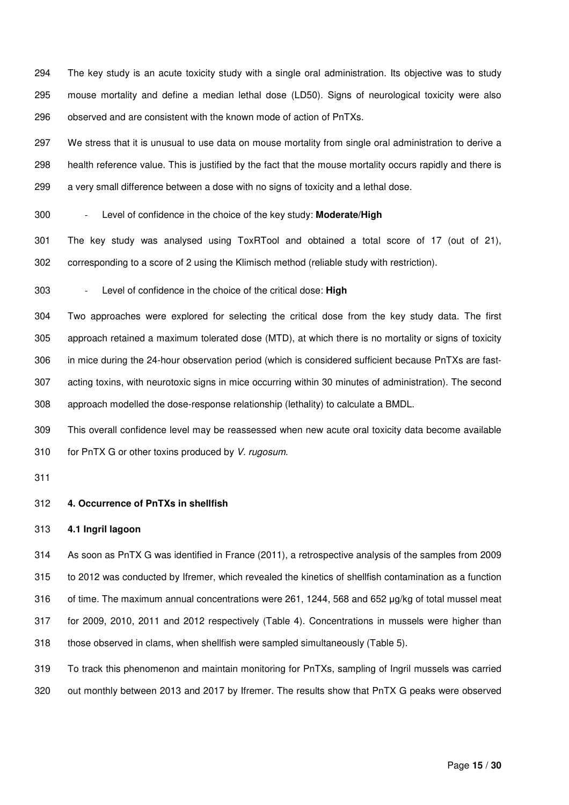294 The key study is an acute toxicity study with a single oral administration. Its objective was to study 295 mouse mortality and define a median lethal dose (LD50). Signs of neurological toxicity were also 296 observed and are consistent with the known mode of action of PnTXs.

297 We stress that it is unusual to use data on mouse mortality from single oral administration to derive a 298 health reference value. This is justified by the fact that the mouse mortality occurs rapidly and there is 299 a very small difference between a dose with no signs of toxicity and a lethal dose.

300 - Level of confidence in the choice of the key study: **Moderate/High**

301 The key study was analysed using ToxRTool and obtained a total score of 17 (out of 21), 302 corresponding to a score of 2 using the Klimisch method (reliable study with restriction).

303 - Level of confidence in the choice of the critical dose: **High**

304 Two approaches were explored for selecting the critical dose from the key study data. The first 305 approach retained a maximum tolerated dose (MTD), at which there is no mortality or signs of toxicity 306 in mice during the 24-hour observation period (which is considered sufficient because PnTXs are fast-307 acting toxins, with neurotoxic signs in mice occurring within 30 minutes of administration). The second 308 approach modelled the dose-response relationship (lethality) to calculate a BMDL.

309 This overall confidence level may be reassessed when new acute oral toxicity data become available 310 for PnTX G or other toxins produced by V. rugosum.

311

#### 312 **4. Occurrence of PnTXs in shellfish**

### 313 **4.1 Ingril lagoon**

314 As soon as PnTX G was identified in France (2011), a retrospective analysis of the samples from 2009 315 to 2012 was conducted by Ifremer, which revealed the kinetics of shellfish contamination as a function 316 of time. The maximum annual concentrations were 261, 1244, 568 and 652 μg/kg of total mussel meat 317 for 2009, 2010, 2011 and 2012 respectively (Table 4). Concentrations in mussels were higher than 318 those observed in clams, when shellfish were sampled simultaneously (Table 5).

319 To track this phenomenon and maintain monitoring for PnTXs, sampling of Ingril mussels was carried 320 out monthly between 2013 and 2017 by Ifremer. The results show that PnTX G peaks were observed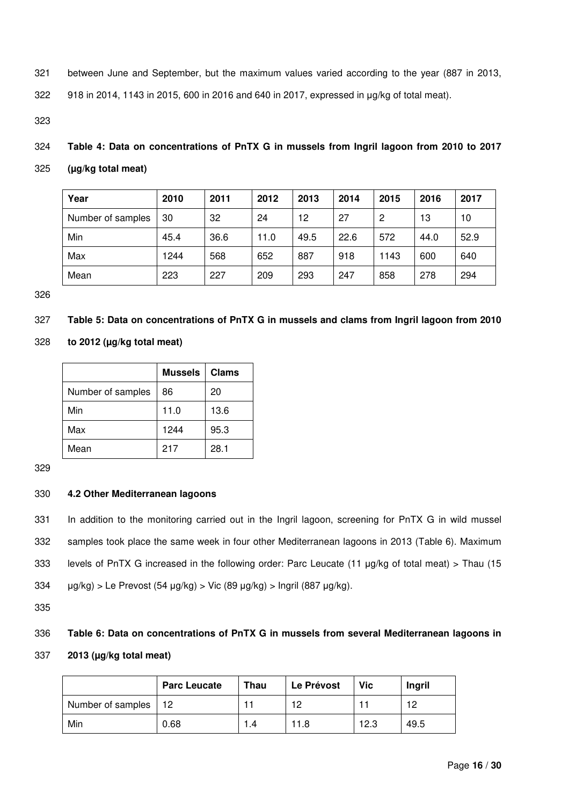321 between June and September, but the maximum values varied according to the year (887 in 2013,

322 918 in 2014, 1143 in 2015, 600 in 2016 and 640 in 2017, expressed in μg/kg of total meat).

323

- 324 **Table 4: Data on concentrations of PnTX G in mussels from Ingril lagoon from 2010 to 2017**
- 325 **(µg/kg total meat)**

| Year              | 2010 | 2011 | 2012 | 2013 | 2014 | 2015 | 2016 | 2017 |
|-------------------|------|------|------|------|------|------|------|------|
| Number of samples | 30   | 32   | 24   | 12   | 27   | 2    | 13   | 10   |
| Min               | 45.4 | 36.6 | 11.0 | 49.5 | 22.6 | 572  | 44.0 | 52.9 |
| Max               | 1244 | 568  | 652  | 887  | 918  | 1143 | 600  | 640  |
| Mean              | 223  | 227  | 209  | 293  | 247  | 858  | 278  | 294  |

326

# 327 **Table 5: Data on concentrations of PnTX G in mussels and clams from Ingril lagoon from 2010**

328 **to 2012 (µg/kg total meat)** 

|                   | <b>Mussels</b> | <b>Clams</b> |
|-------------------|----------------|--------------|
| Number of samples | 86             | 20           |
| Min               | 11.0           | 13.6         |
| Max               | 1244           | 95.3         |
| Mean              | 217            | 28.1         |

329

# 330 **4.2 Other Mediterranean lagoons**

331 In addition to the monitoring carried out in the Ingril lagoon, screening for PnTX G in wild mussel 332 samples took place the same week in four other Mediterranean lagoons in 2013 (Table 6). Maximum 333 levels of PnTX G increased in the following order: Parc Leucate (11 μg/kg of total meat) > Thau (15 334 μg/kg) > Le Prevost (54 μg/kg) > Vic (89 μg/kg) > Ingril (887 μg/kg).

335

# 336 **Table 6: Data on concentrations of PnTX G in mussels from several Mediterranean lagoons in**

337 **2013 (µg/kg total meat)** 

|                   | <b>Parc Leucate</b> | <b>Thau</b> | Le Prévost | <b>Vic</b> | Ingril |
|-------------------|---------------------|-------------|------------|------------|--------|
| Number of samples | 12                  |             | 12         |            | 12     |
| Min               | 0.68                | .4          | 11.8       | 12.3       | 49.5   |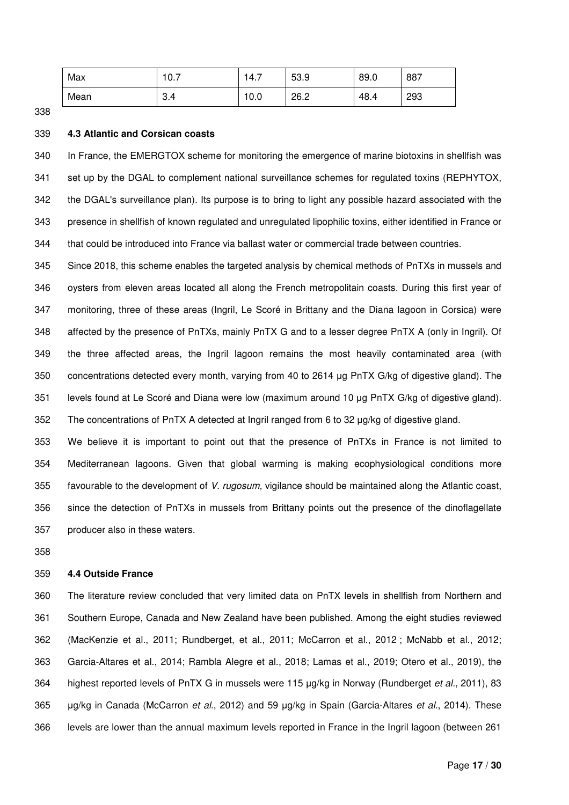| Max  | $\sim$ $\rightarrow$<br>ν. | Δ<br>T. 1 | 53.9 | 89.0 | 887 |
|------|----------------------------|-----------|------|------|-----|
| Mean | 0.4                        | 0.0       | 26.2 | 48.4 | 293 |

### 339 **4.3 Atlantic and Corsican coasts**

340 In France, the EMERGTOX scheme for monitoring the emergence of marine biotoxins in shellfish was 341 set up by the DGAL to complement national surveillance schemes for regulated toxins (REPHYTOX, 342 the DGAL's surveillance plan). Its purpose is to bring to light any possible hazard associated with the 343 presence in shellfish of known regulated and unregulated lipophilic toxins, either identified in France or 344 that could be introduced into France via ballast water or commercial trade between countries.

345 Since 2018, this scheme enables the targeted analysis by chemical methods of PnTXs in mussels and 346 oysters from eleven areas located all along the French metropolitain coasts. During this first year of 347 monitoring, three of these areas (Ingril, Le Scoré in Brittany and the Diana lagoon in Corsica) were 348 affected by the presence of PnTXs, mainly PnTX G and to a lesser degree PnTX A (only in Ingril). Of 349 the three affected areas, the Ingril lagoon remains the most heavily contaminated area (with 350 concentrations detected every month, varying from 40 to 2614 μg PnTX G/kg of digestive gland). The 351 levels found at Le Scoré and Diana were low (maximum around 10 μg PnTX G/kg of digestive gland). 352 The concentrations of PnTX A detected at Ingril ranged from 6 to 32 μg/kg of digestive gland.

353 We believe it is important to point out that the presence of PnTXs in France is not limited to 354 Mediterranean lagoons. Given that global warming is making ecophysiological conditions more 355 favourable to the development of V. rugosum, vigilance should be maintained along the Atlantic coast, 356 since the detection of PnTXs in mussels from Brittany points out the presence of the dinoflagellate 357 producer also in these waters.

358

### 359 **4.4 Outside France**

360 The literature review concluded that very limited data on PnTX levels in shellfish from Northern and 361 Southern Europe, Canada and New Zealand have been published. Among the eight studies reviewed 362 (MacKenzie et al., 2011; Rundberget, et al., 2011; McCarron et al., 2012 ; McNabb et al., 2012; 363 Garcia-Altares et al., 2014; Rambla Alegre et al., 2018; Lamas et al., 2019; Otero et al., 2019), the 364 highest reported levels of PnTX G in mussels were 115 µg/kg in Norway (Rundberget et al., 2011), 83 365 µg/kg in Canada (McCarron et al., 2012) and 59 µg/kg in Spain (Garcia-Altares et al., 2014). These 366 levels are lower than the annual maximum levels reported in France in the Ingril lagoon (between 261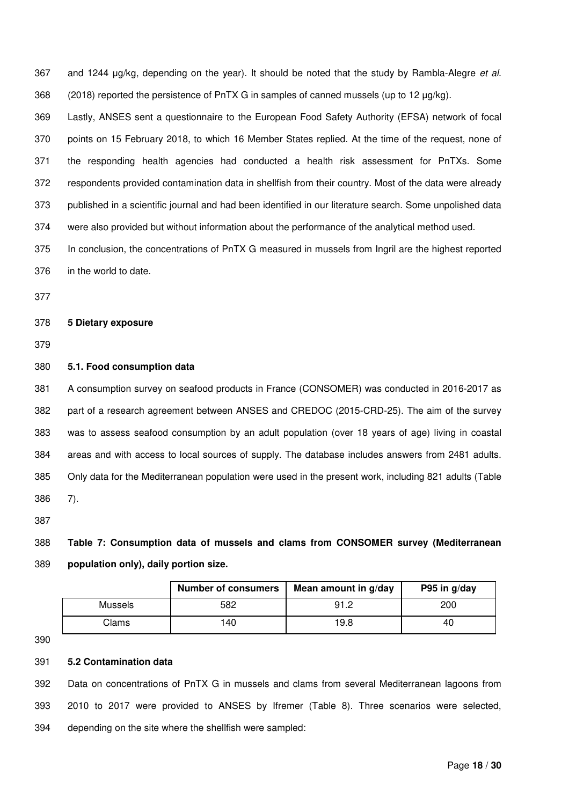367 and 1244 µg/kg, depending on the year). It should be noted that the study by Rambla-Alegre et al. 368 (2018) reported the persistence of PnTX G in samples of canned mussels (up to 12 μg/kg).

369 Lastly, ANSES sent a questionnaire to the European Food Safety Authority (EFSA) network of focal 370 points on 15 February 2018, to which 16 Member States replied. At the time of the request, none of 371 the responding health agencies had conducted a health risk assessment for PnTXs. Some 372 respondents provided contamination data in shellfish from their country. Most of the data were already 373 published in a scientific journal and had been identified in our literature search. Some unpolished data 374 were also provided but without information about the performance of the analytical method used.

375 In conclusion, the concentrations of PnTX G measured in mussels from Ingril are the highest reported 376 in the world to date.

377

### 378 **5 Dietary exposure**

379

### 380 **5.1. Food consumption data**

381 A consumption survey on seafood products in France (CONSOMER) was conducted in 2016-2017 as 382 part of a research agreement between ANSES and CREDOC (2015-CRD-25). The aim of the survey 383 was to assess seafood consumption by an adult population (over 18 years of age) living in coastal 384 areas and with access to local sources of supply. The database includes answers from 2481 adults. 385 Only data for the Mediterranean population were used in the present work, including 821 adults (Table 386 7).

387

388 **Table 7: Consumption data of mussels and clams from CONSOMER survey (Mediterranean**  389 **population only), daily portion size.** 

|         | <b>Number of consumers</b> | Mean amount in g/day | P95 in g/day |
|---------|----------------------------|----------------------|--------------|
| Mussels | 582                        | 91.2                 | 200          |
| Clams   | 40                         | 19.8                 | 40           |

390

### 391 **5.2 Contamination data**

392 Data on concentrations of PnTX G in mussels and clams from several Mediterranean lagoons from 393 2010 to 2017 were provided to ANSES by Ifremer (Table 8). Three scenarios were selected, 394 depending on the site where the shellfish were sampled: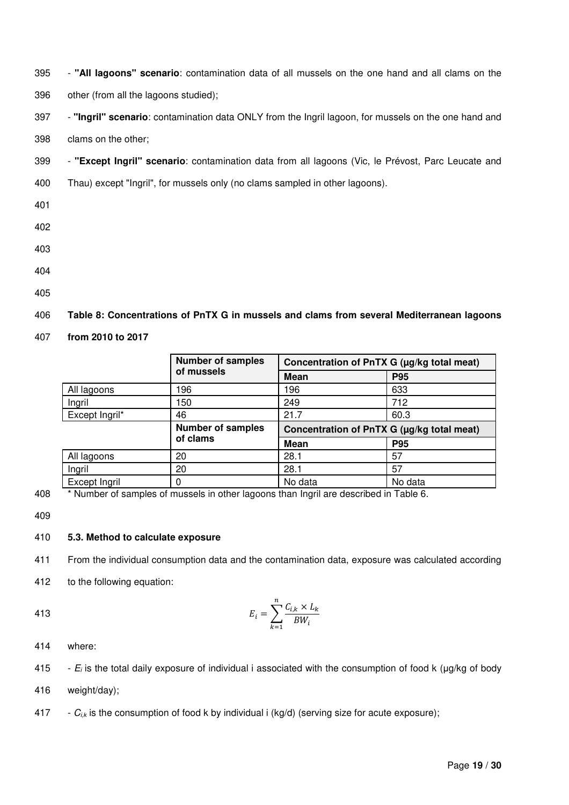395 - **"All lagoons" scenario**: contamination data of all mussels on the one hand and all clams on the

396 other (from all the lagoons studied);

397 - **"Ingril" scenario**: contamination data ONLY from the Ingril lagoon, for mussels on the one hand and

398 clams on the other;

- 399 **"Except Ingril" scenario**: contamination data from all lagoons (Vic, le Prévost, Parc Leucate and
- 400 Thau) except "Ingril", for mussels only (no clams sampled in other lagoons).
- 401
- 402
- 403
- 404
- 405

# 406 **Table 8: Concentrations of PnTX G in mussels and clams from several Mediterranean lagoons**

407 **from 2010 to 2017** 

|                | <b>Number of samples</b> | Concentration of PnTX G (µg/kg total meat) |            |  |  |
|----------------|--------------------------|--------------------------------------------|------------|--|--|
|                | of mussels               | <b>Mean</b>                                | <b>P95</b> |  |  |
| All lagoons    | 196                      | 196                                        | 633        |  |  |
| Ingril         | 150                      | 249                                        | 712        |  |  |
| Except Ingril* | 46                       | 21.7                                       | 60.3       |  |  |
|                | <b>Number of samples</b> | Concentration of PnTX G (µg/kg total meat) |            |  |  |
|                | of clams                 | <b>Mean</b>                                | <b>P95</b> |  |  |
| All lagoons    | 20                       | 28.1                                       | 57         |  |  |
| Ingril         | 20                       | 28.1                                       | 57         |  |  |
|                |                          |                                            |            |  |  |

408 \* Number of samples of mussels in other lagoons than Ingril are described in Table 6.

409

413

# 410 **5.3. Method to calculate exposure**

411 From the individual consumption data and the contamination data, exposure was calculated according

412 to the following equation:

$$
E_i = \sum_{k=1}^{n} \frac{C_{i,k} \times L_k}{BW_i}
$$

414 where:

415 -  $E_i$  is the total daily exposure of individual i associated with the consumption of food k ( $\mu$ g/kg of body

- 416 weight/day);
- 417  $C_{i,k}$  is the consumption of food k by individual i (kg/d) (serving size for acute exposure);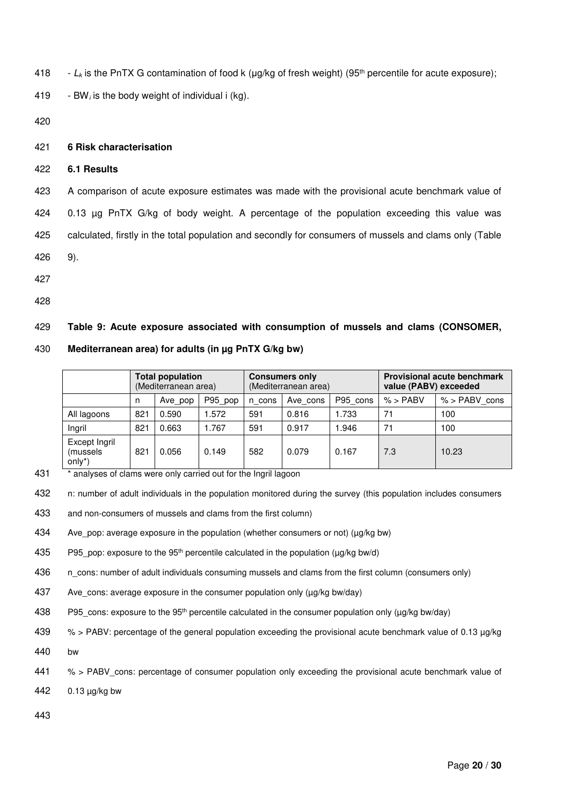418 - L<sub>k</sub> is the PnTX G contamination of food k ( $\mu$ g/kg of fresh weight) (95<sup>th</sup> percentile for acute exposure);

419 - BW; is the body weight of individual i (kg).

420

### 421 **6 Risk characterisation**

422 **6.1 Results** 

423 A comparison of acute exposure estimates was made with the provisional acute benchmark value of 424 0.13 µg PnTX G/kg of body weight. A percentage of the population exceeding this value was 425 calculated, firstly in the total population and secondly for consumers of mussels and clams only (Table 426 9).

- 427
- 428

# 429 **Table 9: Acute exposure associated with consumption of mussels and clams (CONSOMER,**

### 430 **Mediterranean area) for adults (in µg PnTX G/kg bw)**

|                                      | <b>Total population</b><br>(Mediterranean area) |       |        | <b>Consumers only</b><br>(Mediterranean area) |       |            | <b>Provisional acute benchmark</b><br>value (PABV) exceeded |       |  |
|--------------------------------------|-------------------------------------------------|-------|--------|-----------------------------------------------|-------|------------|-------------------------------------------------------------|-------|--|
|                                      | P95_pop<br>Ave_pop<br>n                         |       | n cons | P95 cons<br>Ave cons                          |       | $%$ > PABV | $%$ > PABV cons                                             |       |  |
| All lagoons                          | 821                                             | 0.590 | .572   | 591                                           | 0.816 | .733       | 71                                                          | 100   |  |
| Ingril                               | 821                                             | 0.663 | .767   | 591                                           | 0.917 | 946. ا     | 71                                                          | 100   |  |
| Except Ingril<br>(mussels)<br>only*) | 82                                              | 0.056 | 0.149  | 582                                           | 0.079 | 0.167      | 7.3                                                         | 10.23 |  |

- 431 \* analyses of clams were only carried out for the Ingril lagoon
- 432 n: number of adult individuals in the population monitored during the survey (this population includes consumers
- 433 and non-consumers of mussels and clams from the first column)
- 434 Ave pop: average exposure in the population (whether consumers or not) ( $\mu$ g/kg bw)
- 435 P95 pop: exposure to the 95<sup>th</sup> percentile calculated in the population ( $\mu q/kg$  bw/d)
- 436 n\_cons: number of adult individuals consuming mussels and clams from the first column (consumers only)
- 437 Ave cons: average exposure in the consumer population only ( $\mu$ g/kg bw/day)
- 438 P95 cons: exposure to the 95<sup>th</sup> percentile calculated in the consumer population only (µg/kg bw/day)
- 439 % > PABV: percentage of the general population exceeding the provisional acute benchmark value of 0.13 µg/kg
- 440 bw
- 441 % > PABV cons: percentage of consumer population only exceeding the provisional acute benchmark value of
- 442 0.13 µg/kg bw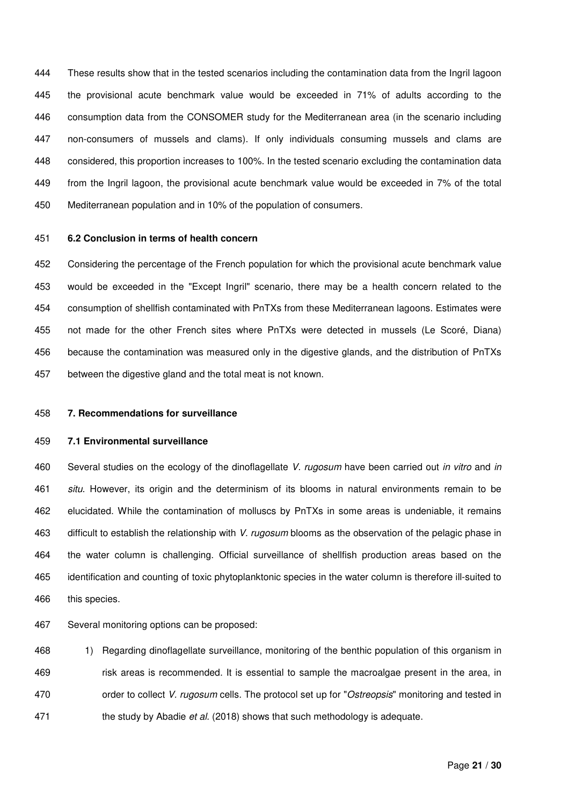444 These results show that in the tested scenarios including the contamination data from the Ingril lagoon 445 the provisional acute benchmark value would be exceeded in 71% of adults according to the 446 consumption data from the CONSOMER study for the Mediterranean area (in the scenario including 447 non-consumers of mussels and clams). If only individuals consuming mussels and clams are 448 considered, this proportion increases to 100%. In the tested scenario excluding the contamination data 449 from the Ingril lagoon, the provisional acute benchmark value would be exceeded in 7% of the total 450 Mediterranean population and in 10% of the population of consumers.

### 451 **6.2 Conclusion in terms of health concern**

452 Considering the percentage of the French population for which the provisional acute benchmark value 453 would be exceeded in the "Except Ingril" scenario, there may be a health concern related to the 454 consumption of shellfish contaminated with PnTXs from these Mediterranean lagoons. Estimates were 455 not made for the other French sites where PnTXs were detected in mussels (Le Scoré, Diana) 456 because the contamination was measured only in the digestive glands, and the distribution of PnTXs 457 between the digestive gland and the total meat is not known.

#### 458 **7. Recommendations for surveillance**

#### 459 **7.1 Environmental surveillance**

460 Several studies on the ecology of the dinoflagellate V. rugosum have been carried out in vitro and in 461 situ. However, its origin and the determinism of its blooms in natural environments remain to be 462 elucidated. While the contamination of molluscs by PnTXs in some areas is undeniable, it remains 463 difficult to establish the relationship with V. rugosum blooms as the observation of the pelagic phase in 464 the water column is challenging. Official surveillance of shellfish production areas based on the 465 identification and counting of toxic phytoplanktonic species in the water column is therefore ill-suited to 466 this species.

467 Several monitoring options can be proposed:

468 1) Regarding dinoflagellate surveillance, monitoring of the benthic population of this organism in 469 risk areas is recommended. It is essential to sample the macroalgae present in the area, in 470 order to collect V. rugosum cells. The protocol set up for "Ostreopsis" monitoring and tested in 471 the study by Abadie et al. (2018) shows that such methodology is adequate.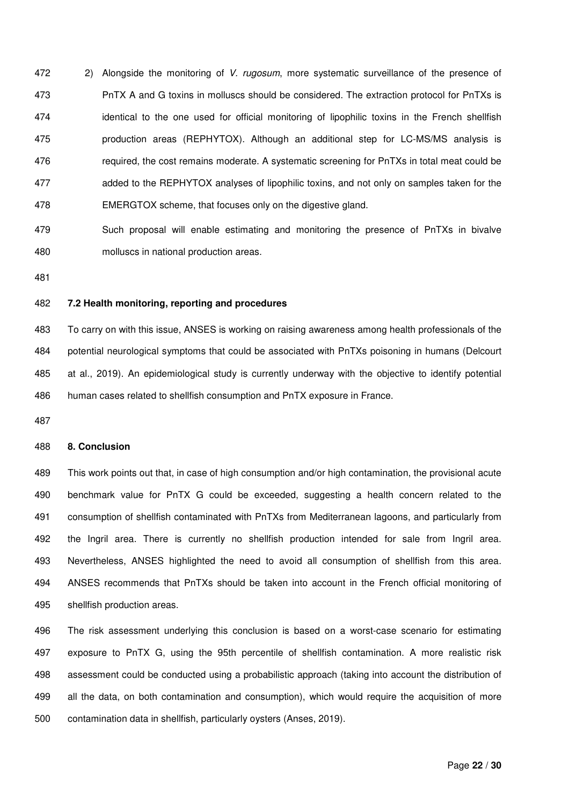472 2) Alongside the monitoring of V. rugosum, more systematic surveillance of the presence of 473 PnTX A and G toxins in molluscs should be considered. The extraction protocol for PnTXs is 474 identical to the one used for official monitoring of lipophilic toxins in the French shellfish 475 production areas (REPHYTOX). Although an additional step for LC-MS/MS analysis is 476 required, the cost remains moderate. A systematic screening for PnTXs in total meat could be 477 added to the REPHYTOX analyses of lipophilic toxins, and not only on samples taken for the 478 EMERGTOX scheme, that focuses only on the digestive gland.

479 Such proposal will enable estimating and monitoring the presence of PnTXs in bivalve 480 molluscs in national production areas.

481

### 482 **7.2 Health monitoring, reporting and procedures**

483 To carry on with this issue, ANSES is working on raising awareness among health professionals of the 484 potential neurological symptoms that could be associated with PnTXs poisoning in humans (Delcourt 485 at al., 2019). An epidemiological study is currently underway with the objective to identify potential 486 human cases related to shellfish consumption and PnTX exposure in France.

487

### 488 **8. Conclusion**

489 This work points out that, in case of high consumption and/or high contamination, the provisional acute 490 benchmark value for PnTX G could be exceeded, suggesting a health concern related to the 491 consumption of shellfish contaminated with PnTXs from Mediterranean lagoons, and particularly from 492 the Ingril area. There is currently no shellfish production intended for sale from Ingril area. 493 Nevertheless, ANSES highlighted the need to avoid all consumption of shellfish from this area. 494 ANSES recommends that PnTXs should be taken into account in the French official monitoring of 495 shellfish production areas.

496 The risk assessment underlying this conclusion is based on a worst-case scenario for estimating 497 exposure to PnTX G, using the 95th percentile of shellfish contamination. A more realistic risk 498 assessment could be conducted using a probabilistic approach (taking into account the distribution of 499 all the data, on both contamination and consumption), which would require the acquisition of more 500 contamination data in shellfish, particularly oysters (Anses, 2019).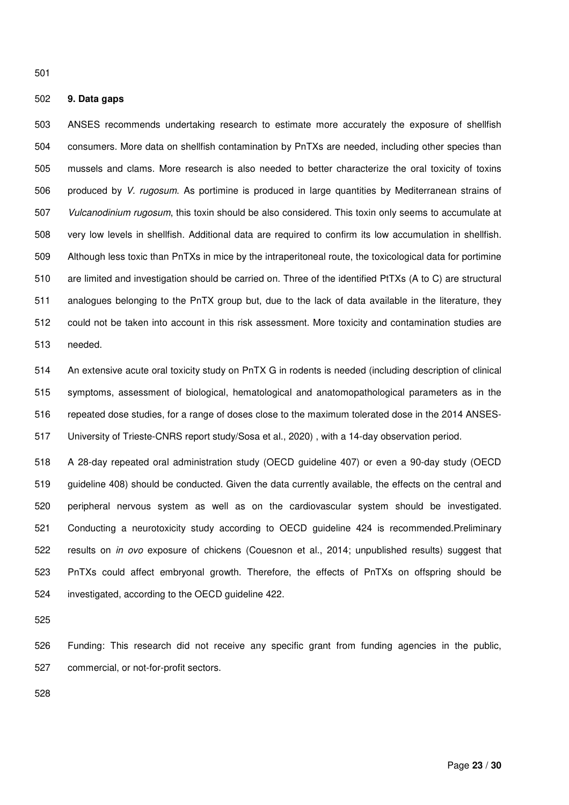### 502 **9. Data gaps**

503 ANSES recommends undertaking research to estimate more accurately the exposure of shellfish 504 consumers. More data on shellfish contamination by PnTXs are needed, including other species than 505 mussels and clams. More research is also needed to better characterize the oral toxicity of toxins 506 produced by V. rugosum. As portimine is produced in large quantities by Mediterranean strains of 507 Vulcanodinium rugosum, this toxin should be also considered. This toxin only seems to accumulate at 508 very low levels in shellfish. Additional data are required to confirm its low accumulation in shellfish. 509 Although less toxic than PnTXs in mice by the intraperitoneal route, the toxicological data for portimine 510 are limited and investigation should be carried on. Three of the identified PtTXs (A to C) are structural 511 analogues belonging to the PnTX group but, due to the lack of data available in the literature, they 512 could not be taken into account in this risk assessment. More toxicity and contamination studies are 513 needed.

514 An extensive acute oral toxicity study on PnTX G in rodents is needed (including description of clinical 515 symptoms, assessment of biological, hematological and anatomopathological parameters as in the 516 repeated dose studies, for a range of doses close to the maximum tolerated dose in the 2014 ANSES-517 University of Trieste-CNRS report study/Sosa et al., 2020) , with a 14-day observation period.

518 A 28-day repeated oral administration study (OECD guideline 407) or even a 90-day study (OECD 519 guideline 408) should be conducted. Given the data currently available, the effects on the central and 520 peripheral nervous system as well as on the cardiovascular system should be investigated. 521 Conducting a neurotoxicity study according to OECD guideline 424 is recommended.Preliminary 522 results on in ovo exposure of chickens (Couesnon et al., 2014; unpublished results) suggest that 523 PnTXs could affect embryonal growth. Therefore, the effects of PnTXs on offspring should be 524 investigated, according to the OECD guideline 422.

525

526 Funding: This research did not receive any specific grant from funding agencies in the public, 527 commercial, or not-for-profit sectors.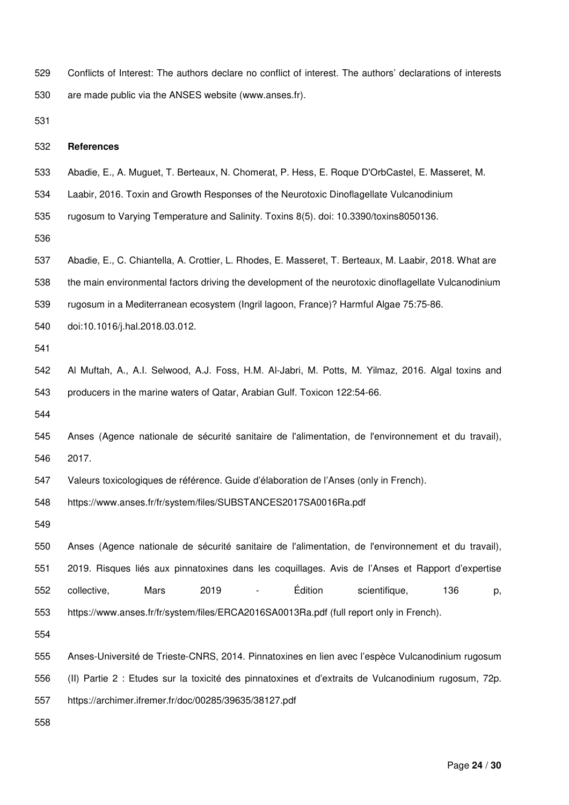529 Conflicts of Interest: The authors declare no conflict of interest. The authors' declarations of interests 530 are made public via the ANSES website (www.anses.fr).

531

### 532 **References**

- 533 Abadie, E., A. Muguet, T. Berteaux, N. Chomerat, P. Hess, E. Roque D'OrbCastel, E. Masseret, M.
- 534 Laabir, 2016. Toxin and Growth Responses of the Neurotoxic Dinoflagellate Vulcanodinium

535 rugosum to Varying Temperature and Salinity. Toxins 8(5). doi: 10.3390/toxins8050136.

536

537 Abadie, E., C. Chiantella, A. Crottier, L. Rhodes, E. Masseret, T. Berteaux, M. Laabir, 2018. What are 538 the main environmental factors driving the development of the neurotoxic dinoflagellate Vulcanodinium 539 rugosum in a Mediterranean ecosystem (Ingril lagoon, France)? Harmful Algae 75:75-86.

540 doi:10.1016/j.hal.2018.03.012.

541

542 Al Muftah, A., A.I. Selwood, A.J. Foss, H.M. Al-Jabri, M. Potts, M. Yilmaz, 2016. Algal toxins and 543 producers in the marine waters of Qatar, Arabian Gulf. Toxicon 122:54-66.

544

545 Anses (Agence nationale de sécurité sanitaire de l'alimentation, de l'environnement et du travail), 546 2017.

547 Valeurs toxicologiques de référence. Guide d'élaboration de l'Anses (only in French).

548 https://www.anses.fr/fr/system/files/SUBSTANCES2017SA0016Ra.pdf

549

550 Anses (Agence nationale de sécurité sanitaire de l'alimentation, de l'environnement et du travail), 551 2019. Risques liés aux pinnatoxines dans les coquillages. Avis de l'Anses et Rapport d'expertise 552 collective, Mars 2019 - Édition scientifique, 136 p, 553 https://www.anses.fr/fr/system/files/ERCA2016SA0013Ra.pdf (full report only in French).

554

555 Anses-Université de Trieste-CNRS, 2014. Pinnatoxines en lien avec l'espèce Vulcanodinium rugosum 556 (II) Partie 2 : Etudes sur la toxicité des pinnatoxines et d'extraits de Vulcanodinium rugosum, 72p.

557 https://archimer.ifremer.fr/doc/00285/39635/38127.pdf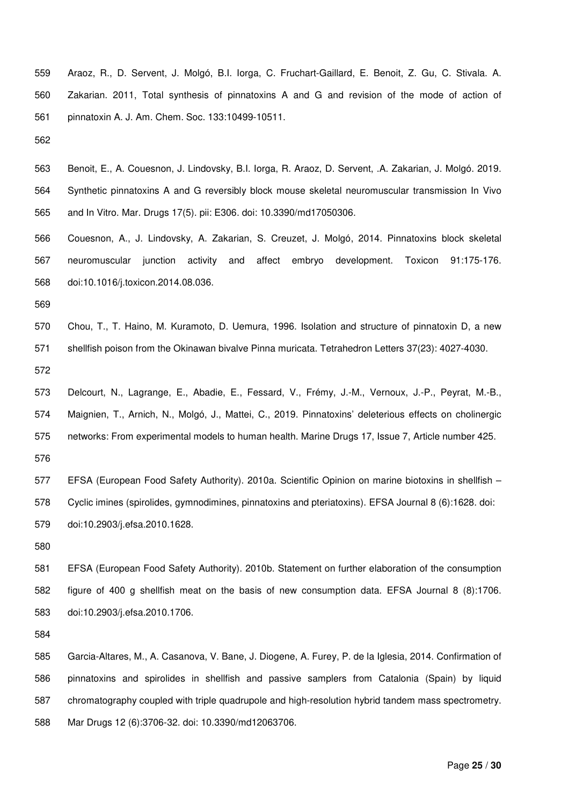- 559 Araoz, R., D. Servent, J. Molgó, B.I. Iorga, C. Fruchart-Gaillard, E. Benoit, Z. Gu, C. Stivala. A. 560 Zakarian. 2011, Total synthesis of pinnatoxins A and G and revision of the mode of action of 561 pinnatoxin A. J. Am. Chem. Soc. 133:10499-10511.
- 562
- 563 Benoit, E., A. Couesnon, J. Lindovsky, B.I. Iorga, R. Araoz, D. Servent, .A. Zakarian, J. Molgó. 2019. 564 Synthetic pinnatoxins A and G reversibly block mouse skeletal neuromuscular transmission In Vivo 565 and In Vitro. Mar. Drugs 17(5). pii: E306. doi: 10.3390/md17050306.
- 566 Couesnon, A., J. Lindovsky, A. Zakarian, S. Creuzet, J. Molgó, 2014. Pinnatoxins block skeletal 567 neuromuscular junction activity and affect embryo development. Toxicon 91:175-176. 568 doi:10.1016/j.toxicon.2014.08.036.
- 569
- 570 Chou, T., T. Haino, M. Kuramoto, D. Uemura, 1996. Isolation and structure of pinnatoxin D, a new 571 shellfish poison from the Okinawan bivalve Pinna muricata. Tetrahedron Letters 37(23): 4027-4030.
- 572
- 573 Delcourt, N., Lagrange, E., Abadie, E., Fessard, V., Frémy, J.-M., Vernoux, J.-P., Peyrat, M.-B., 574 Maignien, T., Arnich, N., Molgó, J., Mattei, C., 2019. Pinnatoxins' deleterious effects on cholinergic 575 networks: From experimental models to human health. Marine Drugs 17, Issue 7, Article number 425. 576
- 577 EFSA (European Food Safety Authority). 2010a. Scientific Opinion on marine biotoxins in shellfish 578 Cyclic imines (spirolides, gymnodimines, pinnatoxins and pteriatoxins). EFSA Journal 8 (6):1628. doi: 579 doi:10.2903/j.efsa.2010.1628.
- 580

581 EFSA (European Food Safety Authority). 2010b. Statement on further elaboration of the consumption 582 figure of 400 g shellfish meat on the basis of new consumption data. EFSA Journal 8 (8):1706. 583 doi:10.2903/j.efsa.2010.1706.

584

585 Garcia-Altares, M., A. Casanova, V. Bane, J. Diogene, A. Furey, P. de la Iglesia, 2014. Confirmation of 586 pinnatoxins and spirolides in shellfish and passive samplers from Catalonia (Spain) by liquid 587 chromatography coupled with triple quadrupole and high-resolution hybrid tandem mass spectrometry. 588 Mar Drugs 12 (6):3706-32. doi: 10.3390/md12063706.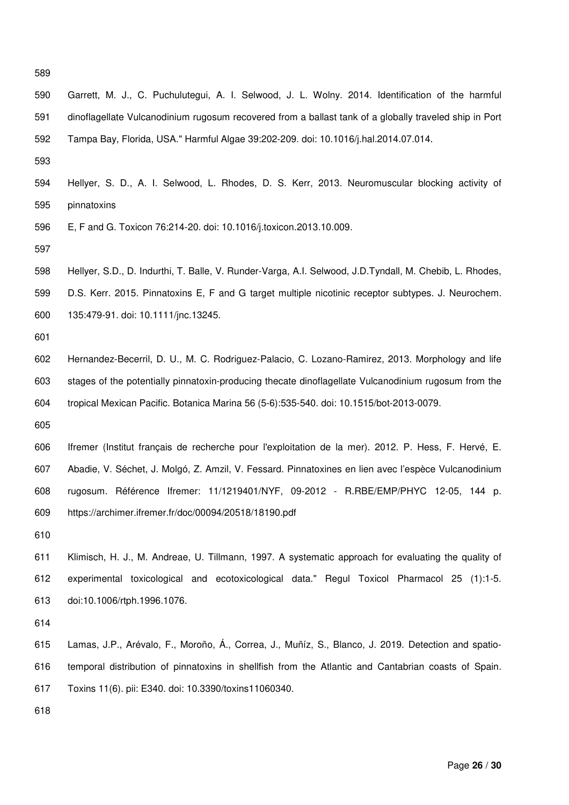- 589
- 590 Garrett, M. J., C. Puchulutegui, A. I. Selwood, J. L. Wolny. 2014. Identification of the harmful 591 dinoflagellate Vulcanodinium rugosum recovered from a ballast tank of a globally traveled ship in Port 592 Tampa Bay, Florida, USA." Harmful Algae 39:202-209. doi: 10.1016/j.hal.2014.07.014.
- 593
- 594 Hellyer, S. D., A. I. Selwood, L. Rhodes, D. S. Kerr, 2013. Neuromuscular blocking activity of 595 pinnatoxins
- 596 E, F and G. Toxicon 76:214-20. doi: 10.1016/j.toxicon.2013.10.009.
- 597
- 598 Hellyer, S.D., D. Indurthi, T. Balle, V. Runder-Varga, A.I. Selwood, J.D.Tyndall, M. Chebib, L. Rhodes,
- 599 D.S. Kerr. 2015. Pinnatoxins E, F and G target multiple nicotinic receptor subtypes. J. Neurochem. 600 135:479-91. doi: 10.1111/jnc.13245.
- 601
- 602 Hernandez-Becerril, D. U., M. C. Rodriguez-Palacio, C. Lozano-Ramirez, 2013. Morphology and life 603 stages of the potentially pinnatoxin-producing thecate dinoflagellate Vulcanodinium rugosum from the 604 tropical Mexican Pacific. Botanica Marina 56 (5-6):535-540. doi: 10.1515/bot-2013-0079.
- 605
- 606 Ifremer (Institut français de recherche pour l'exploitation de la mer). 2012. P. Hess, F. Hervé, E. 607 Abadie, V. Séchet, J. Molgó, Z. Amzil, V. Fessard. Pinnatoxines en lien avec l'espèce Vulcanodinium 608 rugosum. Référence Ifremer: 11/1219401/NYF, 09-2012 - R.RBE/EMP/PHYC 12-05, 144 p. 609 https://archimer.ifremer.fr/doc/00094/20518/18190.pdf
- 610
- 611 Klimisch, H. J., M. Andreae, U. Tillmann, 1997. A systematic approach for evaluating the quality of 612 experimental toxicological and ecotoxicological data." Regul Toxicol Pharmacol 25 (1):1-5. 613 doi:10.1006/rtph.1996.1076.
- 614
- 615 Lamas, J.P., Arévalo, F., Moroño, Á., Correa, J., Muñíz, S., Blanco, J. 2019. Detection and spatio-616 temporal distribution of pinnatoxins in shellfish from the Atlantic and Cantabrian coasts of Spain. 617 Toxins 11(6). pii: E340. doi: 10.3390/toxins11060340.
- 618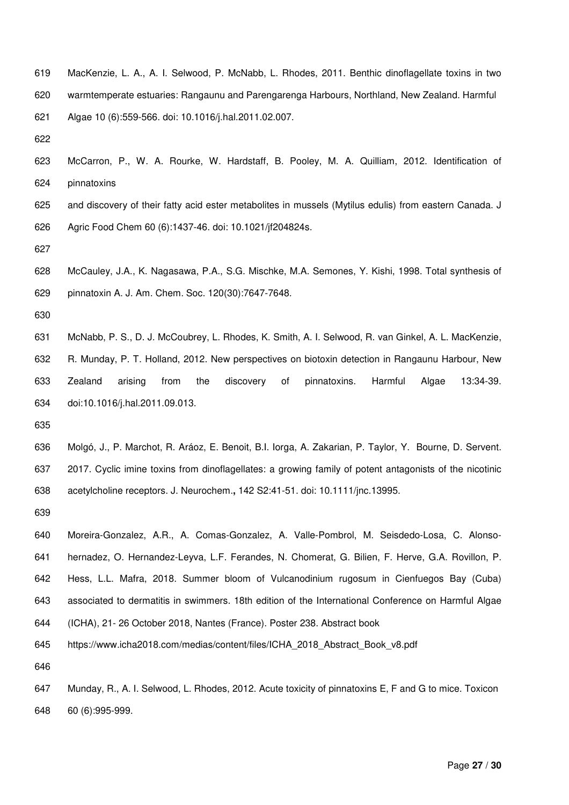- 619 MacKenzie, L. A., A. I. Selwood, P. McNabb, L. Rhodes, 2011. Benthic dinoflagellate toxins in two 620 warmtemperate estuaries: Rangaunu and Parengarenga Harbours, Northland, New Zealand. Harmful 621 Algae 10 (6):559-566. doi: 10.1016/j.hal.2011.02.007.
- 622
- 623 McCarron, P., W. A. Rourke, W. Hardstaff, B. Pooley, M. A. Quilliam, 2012. Identification of 624 pinnatoxins
- 625 and discovery of their fatty acid ester metabolites in mussels (Mytilus edulis) from eastern Canada. J 626 Agric Food Chem 60 (6):1437-46. doi: 10.1021/jf204824s.
- 627
- 628 McCauley, J.A., K. Nagasawa, P.A., S.G. Mischke, M.A. Semones, Y. Kishi, 1998. Total synthesis of 629 pinnatoxin A. J. Am. Chem. Soc. 120(30):7647-7648.
- 630
- 631 McNabb, P. S., D. J. McCoubrey, L. Rhodes, K. Smith, A. I. Selwood, R. van Ginkel, A. L. MacKenzie, 632 R. Munday, P. T. Holland, 2012. New perspectives on biotoxin detection in Rangaunu Harbour, New 633 Zealand arising from the discovery of pinnatoxins. Harmful Algae 13:34-39. 634 doi:10.1016/j.hal.2011.09.013.
- 635
- 636 Molgó, J., P. Marchot, R. Aráoz, E. Benoit, B.I. Iorga, A. Zakarian, P. Taylor, Y. Bourne, D. Servent. 637 2017. Cyclic imine toxins from dinoflagellates: a growing family of potent antagonists of the nicotinic 638 acetylcholine receptors. J. Neurochem.**,** 142 S2:41-51. doi: 10.1111/jnc.13995.
- 639
- 640 Moreira-Gonzalez, A.R., A. Comas-Gonzalez, A. Valle-Pombrol, M. Seisdedo-Losa, C. Alonso-641 hernadez, O. Hernandez-Leyva, L.F. Ferandes, N. Chomerat, G. Bilien, F. Herve, G.A. Rovillon, P. 642 Hess, L.L. Mafra, 2018. Summer bloom of Vulcanodinium rugosum in Cienfuegos Bay (Cuba) 643 associated to dermatitis in swimmers. 18th edition of the International Conference on Harmful Algae 644 (ICHA), 21- 26 October 2018, Nantes (France). Poster 238. Abstract book 645 https://www.icha2018.com/medias/content/files/ICHA\_2018\_Abstract\_Book\_v8.pdf

647 Munday, R., A. I. Selwood, L. Rhodes, 2012. Acute toxicity of pinnatoxins E, F and G to mice. Toxicon 648 60 (6):995-999.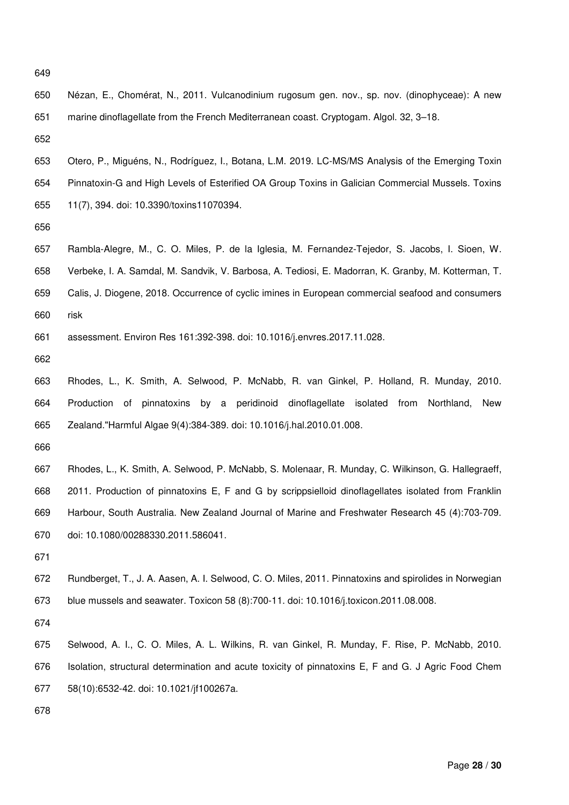650 Nézan, E., Chomérat, N., 2011. Vulcanodinium rugosum gen. nov., sp. nov. (dinophyceae): A new 651 marine dinoflagellate from the French Mediterranean coast. Cryptogam. Algol. 32, 3–18.

652

- 653 Otero, P., Miguéns, N., Rodríguez, I., Botana, L.M. 2019. LC-MS/MS Analysis of the Emerging Toxin 654 Pinnatoxin-G and High Levels of Esterified OA Group Toxins in Galician Commercial Mussels. Toxins 655 11(7), 394. doi: 10.3390/toxins11070394.
- 656
- 657 Rambla-Alegre, M., C. O. Miles, P. de la Iglesia, M. Fernandez-Tejedor, S. Jacobs, I. Sioen, W. 658 Verbeke, I. A. Samdal, M. Sandvik, V. Barbosa, A. Tediosi, E. Madorran, K. Granby, M. Kotterman, T. 659 Calis, J. Diogene, 2018. Occurrence of cyclic imines in European commercial seafood and consumers 660 risk
- 661 assessment. Environ Res 161:392-398. doi: 10.1016/j.envres.2017.11.028.
- 662

663 Rhodes, L., K. Smith, A. Selwood, P. McNabb, R. van Ginkel, P. Holland, R. Munday, 2010. 664 Production of pinnatoxins by a peridinoid dinoflagellate isolated from Northland, New 665 Zealand."Harmful Algae 9(4):384-389. doi: 10.1016/j.hal.2010.01.008.

- 666
- 667 Rhodes, L., K. Smith, A. Selwood, P. McNabb, S. Molenaar, R. Munday, C. Wilkinson, G. Hallegraeff, 668 2011. Production of pinnatoxins E, F and G by scrippsielloid dinoflagellates isolated from Franklin 669 Harbour, South Australia. New Zealand Journal of Marine and Freshwater Research 45 (4):703-709. 670 doi: 10.1080/00288330.2011.586041.
- 671
- 672 Rundberget, T., J. A. Aasen, A. I. Selwood, C. O. Miles, 2011. Pinnatoxins and spirolides in Norwegian 673 blue mussels and seawater. Toxicon 58 (8):700-11. doi: 10.1016/j.toxicon.2011.08.008.
- 674
- 675 Selwood, A. I., C. O. Miles, A. L. Wilkins, R. van Ginkel, R. Munday, F. Rise, P. McNabb, 2010. 676 Isolation, structural determination and acute toxicity of pinnatoxins E, F and G. J Agric Food Chem 677 58(10):6532-42. doi: 10.1021/jf100267a.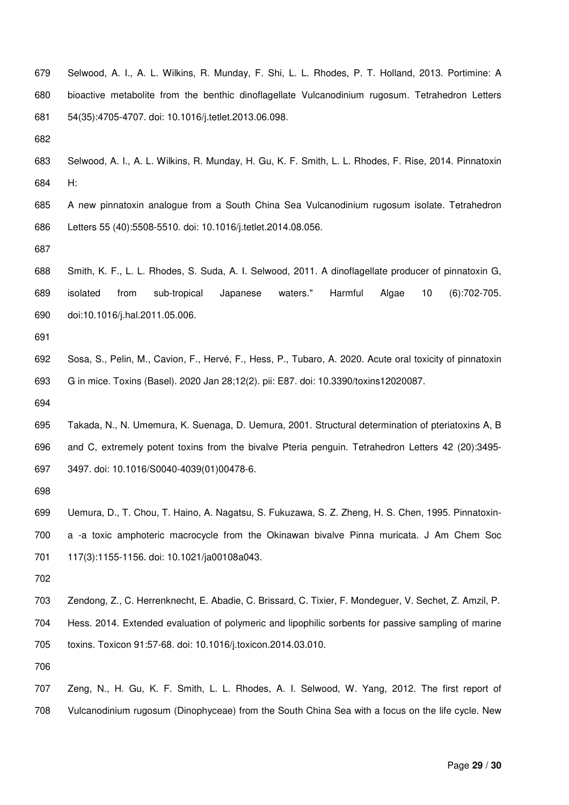- 679 Selwood, A. I., A. L. Wilkins, R. Munday, F. Shi, L. L. Rhodes, P. T. Holland, 2013. Portimine: A 680 bioactive metabolite from the benthic dinoflagellate Vulcanodinium rugosum. Tetrahedron Letters 681 54(35):4705-4707. doi: 10.1016/j.tetlet.2013.06.098.
- 682
- 683 Selwood, A. I., A. L. Wilkins, R. Munday, H. Gu, K. F. Smith, L. L. Rhodes, F. Rise, 2014. Pinnatoxin 684 H:
- 685 A new pinnatoxin analogue from a South China Sea Vulcanodinium rugosum isolate. Tetrahedron 686 Letters 55 (40):5508-5510. doi: 10.1016/j.tetlet.2014.08.056.
- 687
- 688 Smith, K. F., L. L. Rhodes, S. Suda, A. I. Selwood, 2011. A dinoflagellate producer of pinnatoxin G, 689 isolated from sub-tropical Japanese waters." Harmful Algae 10 (6):702-705. 690 doi:10.1016/j.hal.2011.05.006.
- 691
- 692 Sosa, S., Pelin, M., Cavion, F., Hervé, F., Hess, P., Tubaro, A. 2020. Acute oral toxicity of pinnatoxin 693 G in mice. Toxins (Basel). 2020 Jan 28;12(2). pii: E87. doi: 10.3390/toxins12020087.
- 694
- 695 Takada, N., N. Umemura, K. Suenaga, D. Uemura, 2001. Structural determination of pteriatoxins A, B 696 and C, extremely potent toxins from the bivalve Pteria penguin. Tetrahedron Letters 42 (20):3495- 697 3497. doi: 10.1016/S0040-4039(01)00478-6.
- 698
- 699 Uemura, D., T. Chou, T. Haino, A. Nagatsu, S. Fukuzawa, S. Z. Zheng, H. S. Chen, 1995. Pinnatoxin-700 a -a toxic amphoteric macrocycle from the Okinawan bivalve Pinna muricata. J Am Chem Soc 701 117(3):1155-1156. doi: 10.1021/ja00108a043.
- 702
- 703 Zendong, Z., C. Herrenknecht, E. Abadie, C. Brissard, C. Tixier, F. Mondeguer, V. Sechet, Z. Amzil, P.
- 704 Hess. 2014. Extended evaluation of polymeric and lipophilic sorbents for passive sampling of marine 705 toxins. Toxicon 91:57-68. doi: 10.1016/j.toxicon.2014.03.010.
- 706
- 707 Zeng, N., H. Gu, K. F. Smith, L. L. Rhodes, A. I. Selwood, W. Yang, 2012. The first report of 708 Vulcanodinium rugosum (Dinophyceae) from the South China Sea with a focus on the life cycle. New